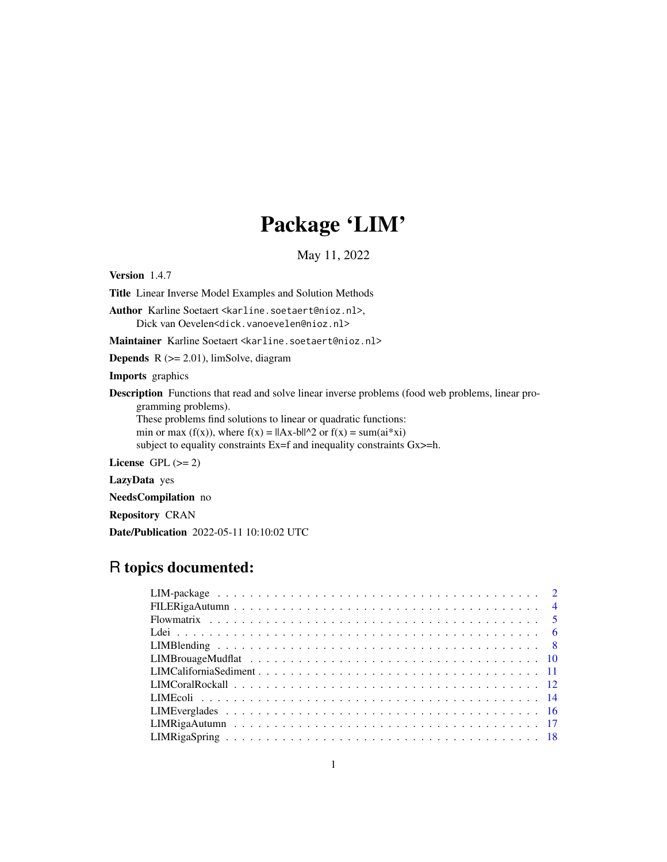# Package 'LIM'

May 11, 2022

<span id="page-0-0"></span>Version 1.4.7

Title Linear Inverse Model Examples and Solution Methods

Author Karline Soetaert <karline.soetaert@nioz.nl>, Dick van Oevelen<dick.vanoevelen@nioz.nl>

Maintainer Karline Soetaert <karline.soetaert@nioz.nl>

**Depends**  $R$  ( $>= 2.01$ ), limSolve, diagram

Imports graphics

Description Functions that read and solve linear inverse problems (food web problems, linear programming problems).

These problems find solutions to linear or quadratic functions: min or max (f(x)), where  $f(x) = ||Ax-b||^2$  or  $f(x) = \text{sum}(ai^*xi)$ subject to equality constraints Ex=f and inequality constraints Gx>=h.

License GPL  $(>= 2)$ 

LazyData yes

NeedsCompilation no

Repository CRAN

Date/Publication 2022-05-11 10:10:02 UTC

# R topics documented: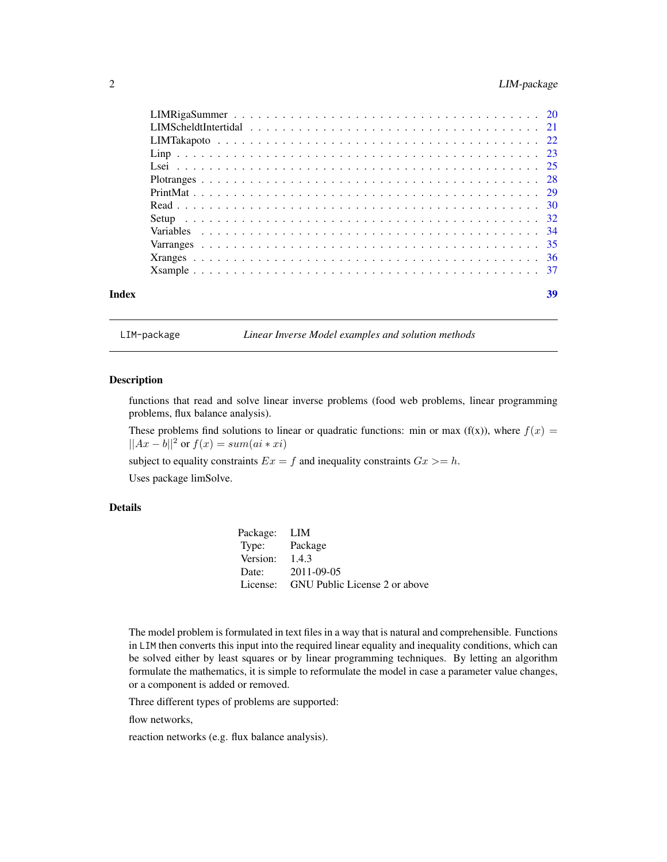<span id="page-1-0"></span>

| Index | 39 |
|-------|----|

LIM-package *Linear Inverse Model examples and solution methods*

# Description

functions that read and solve linear inverse problems (food web problems, linear programming problems, flux balance analysis).

These problems find solutions to linear or quadratic functions: min or max (f(x)), where  $f(x)$  =  $||Ax - b||^2$  or  $f(x) = sum(ai * xi)$ 

subject to equality constraints  $Ex = f$  and inequality constraints  $Gx \geq h$ .

Uses package limSolve.

#### Details

| Package: LIM  |                               |
|---------------|-------------------------------|
| Type: Package |                               |
| Version:      | 1.4.3                         |
| Date:         | 2011-09-05                    |
| License:      | GNU Public License 2 or above |

The model problem is formulated in text files in a way that is natural and comprehensible. Functions in LIM then converts this input into the required linear equality and inequality conditions, which can be solved either by least squares or by linear programming techniques. By letting an algorithm formulate the mathematics, it is simple to reformulate the model in case a parameter value changes, or a component is added or removed.

Three different types of problems are supported:

flow networks,

reaction networks (e.g. flux balance analysis).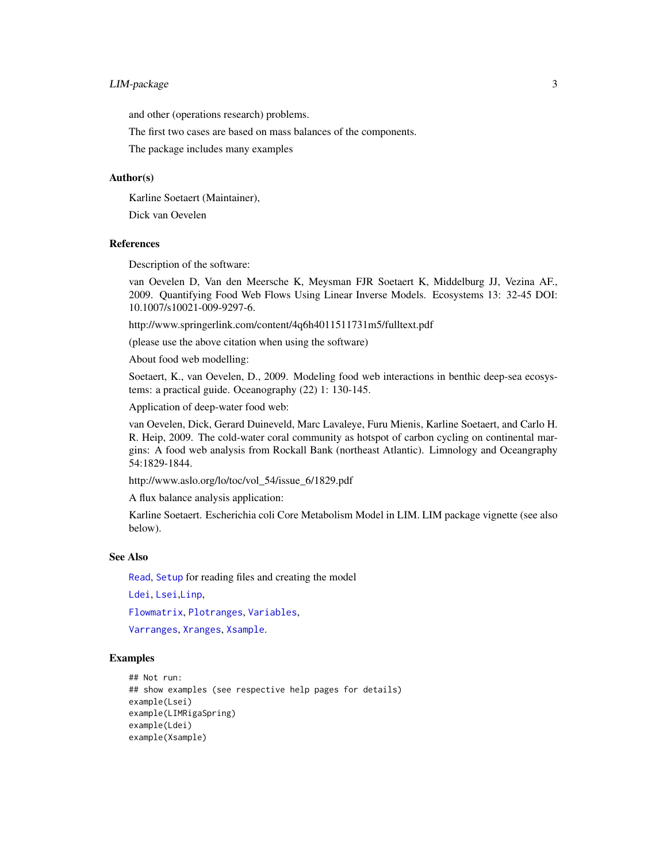# <span id="page-2-0"></span>LIM-package 3

and other (operations research) problems.

The first two cases are based on mass balances of the components.

The package includes many examples

### Author(s)

Karline Soetaert (Maintainer),

Dick van Oevelen

#### References

Description of the software:

van Oevelen D, Van den Meersche K, Meysman FJR Soetaert K, Middelburg JJ, Vezina AF., 2009. Quantifying Food Web Flows Using Linear Inverse Models. Ecosystems 13: 32-45 DOI: 10.1007/s10021-009-9297-6.

http://www.springerlink.com/content/4q6h4011511731m5/fulltext.pdf

(please use the above citation when using the software)

About food web modelling:

Soetaert, K., van Oevelen, D., 2009. Modeling food web interactions in benthic deep-sea ecosystems: a practical guide. Oceanography (22) 1: 130-145.

Application of deep-water food web:

van Oevelen, Dick, Gerard Duineveld, Marc Lavaleye, Furu Mienis, Karline Soetaert, and Carlo H. R. Heip, 2009. The cold-water coral community as hotspot of carbon cycling on continental margins: A food web analysis from Rockall Bank (northeast Atlantic). Limnology and Oceangraphy 54:1829-1844.

http://www.aslo.org/lo/toc/vol\_54/issue\_6/1829.pdf

A flux balance analysis application:

Karline Soetaert. Escherichia coli Core Metabolism Model in LIM. LIM package vignette (see also below).

#### See Also

[Read](#page-29-1), [Setup](#page-31-1) for reading files and creating the model

[Ldei](#page-5-1), [Lsei](#page-24-1),[Linp](#page-22-1),

[Flowmatrix](#page-4-1), [Plotranges](#page-27-1), [Variables](#page-33-1),

[Varranges](#page-34-1), [Xranges](#page-35-1), [Xsample](#page-36-1).

#### Examples

```
## Not run:
## show examples (see respective help pages for details)
example(Lsei)
example(LIMRigaSpring)
example(Ldei)
example(Xsample)
```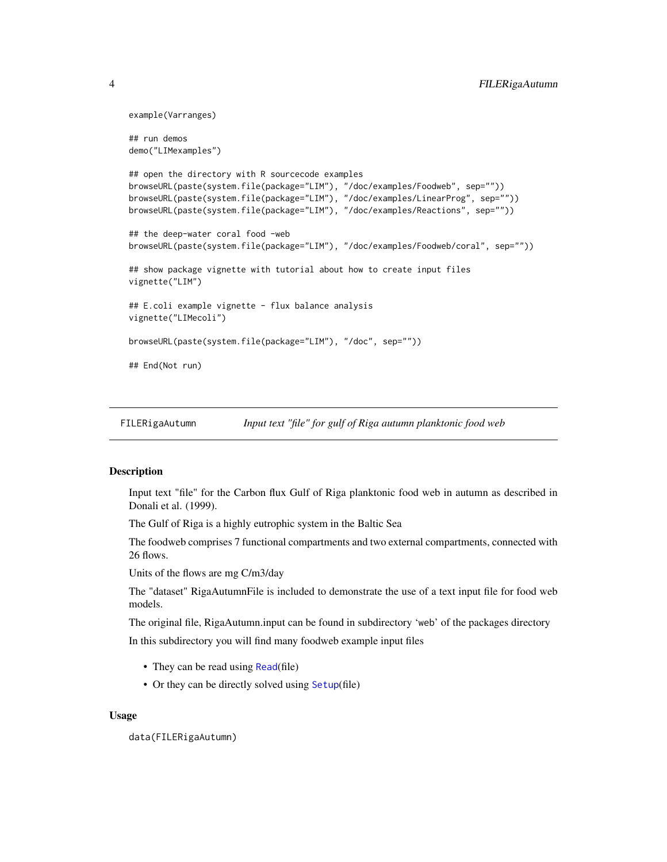```
example(Varranges)
## run demos
demo("LIMexamples")
## open the directory with R sourcecode examples
browseURL(paste(system.file(package="LIM"), "/doc/examples/Foodweb", sep=""))
browseURL(paste(system.file(package="LIM"), "/doc/examples/LinearProg", sep=""))
browseURL(paste(system.file(package="LIM"), "/doc/examples/Reactions", sep=""))
## the deep-water coral food -web
browseURL(paste(system.file(package="LIM"), "/doc/examples/Foodweb/coral", sep=""))
## show package vignette with tutorial about how to create input files
vignette("LIM")
## E.coli example vignette - flux balance analysis
vignette("LIMecoli")
browseURL(paste(system.file(package="LIM"), "/doc", sep=""))
## End(Not run)
```
FILERigaAutumn *Input text "file" for gulf of Riga autumn planktonic food web*

# **Description**

Input text "file" for the Carbon flux Gulf of Riga planktonic food web in autumn as described in Donali et al. (1999).

The Gulf of Riga is a highly eutrophic system in the Baltic Sea

The foodweb comprises 7 functional compartments and two external compartments, connected with 26 flows.

Units of the flows are mg C/m3/day

The "dataset" RigaAutumnFile is included to demonstrate the use of a text input file for food web models.

The original file, RigaAutumn.input can be found in subdirectory 'web' of the packages directory In this subdirectory you will find many foodweb example input files

- They can be read using [Read](#page-29-1)(file)
- Or they can be directly solved using [Setup](#page-31-1)(file)

#### Usage

data(FILERigaAutumn)

<span id="page-3-0"></span>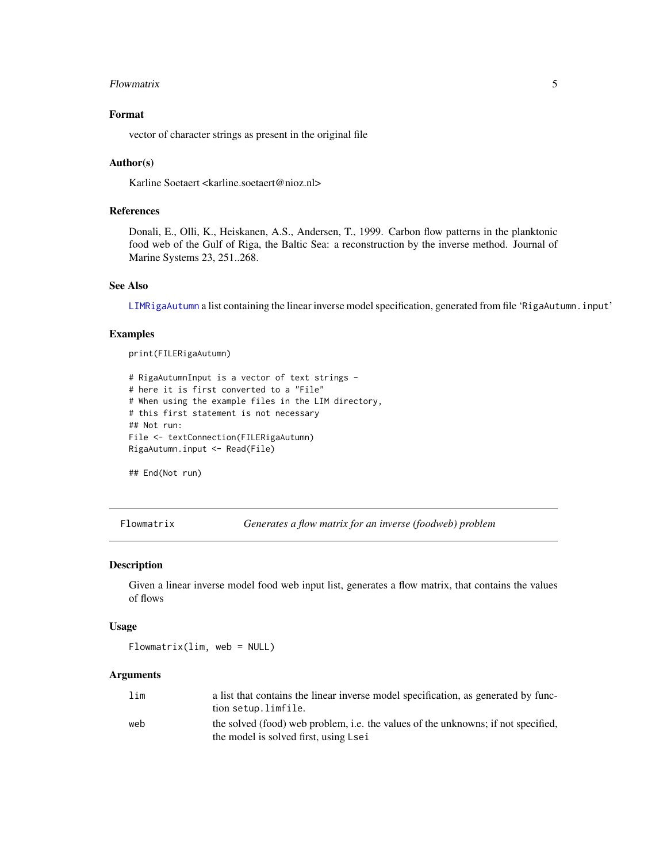#### <span id="page-4-0"></span>Flowmatrix 5

# Format

vector of character strings as present in the original file

#### Author(s)

Karline Soetaert <karline.soetaert@nioz.nl>

# References

Donali, E., Olli, K., Heiskanen, A.S., Andersen, T., 1999. Carbon flow patterns in the planktonic food web of the Gulf of Riga, the Baltic Sea: a reconstruction by the inverse method. Journal of Marine Systems 23, 251..268.

# See Also

[LIMRigaAutumn](#page-16-1) a list containing the linear inverse model specification, generated from file 'RigaAutumn.input'

# Examples

print(FILERigaAutumn)

```
# RigaAutumnInput is a vector of text strings -
# here it is first converted to a "File"
# When using the example files in the LIM directory,
# this first statement is not necessary
## Not run:
File <- textConnection(FILERigaAutumn)
RigaAutumn.input <- Read(File)
```

```
## End(Not run)
```
<span id="page-4-1"></span>Flowmatrix *Generates a flow matrix for an inverse (foodweb) problem*

#### Description

Given a linear inverse model food web input list, generates a flow matrix, that contains the values of flows

#### Usage

Flowmatrix(lim, web = NULL)

#### Arguments

| lim | a list that contains the linear inverse model specification, as generated by func- |
|-----|------------------------------------------------------------------------------------|
|     | tion setup.limfile.                                                                |
| web | the solved (food) web problem, i.e. the values of the unknowns; if not specified,  |
|     | the model is solved first, using Lsei                                              |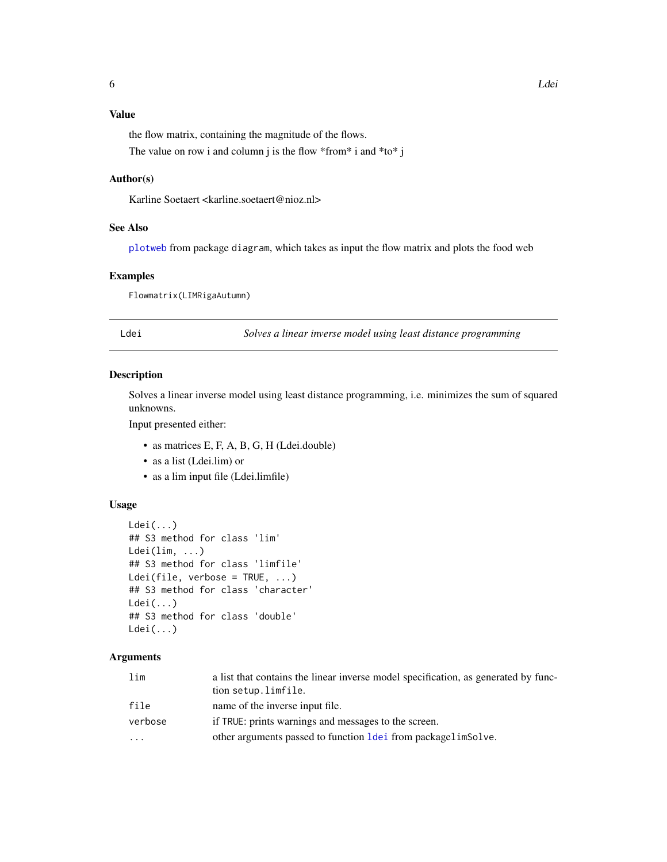# <span id="page-5-0"></span>Value

the flow matrix, containing the magnitude of the flows.

The value on row i and column j is the flow \*from\* i and \*to\* j

# Author(s)

Karline Soetaert <karline.soetaert@nioz.nl>

# See Also

[plotweb](#page-0-0) from package diagram, which takes as input the flow matrix and plots the food web

# Examples

Flowmatrix(LIMRigaAutumn)

<span id="page-5-1"></span>Ldei *Solves a linear inverse model using least distance programming*

#### Description

Solves a linear inverse model using least distance programming, i.e. minimizes the sum of squared unknowns.

Input presented either:

- as matrices E, F, A, B, G, H (Ldei.double)
- as a list (Ldei.lim) or
- as a lim input file (Ldei.limfile)

#### Usage

```
Ldei(...)
## S3 method for class 'lim'
Ldei(lim, ...)
## S3 method for class 'limfile'
Ldei(file, verbose = TRUE, ...)
## S3 method for class 'character'
Ldei(...)
## S3 method for class 'double'
Ldei(...)
```
#### **Arguments**

| lim      | a list that contains the linear inverse model specification, as generated by func-<br>tion setup.limfile. |
|----------|-----------------------------------------------------------------------------------------------------------|
| file     | name of the inverse input file.                                                                           |
| verbose  | if TRUE: prints warnings and messages to the screen.                                                      |
| $\cdots$ | other arguments passed to function <u>Idei</u> from packagelimSolve.                                      |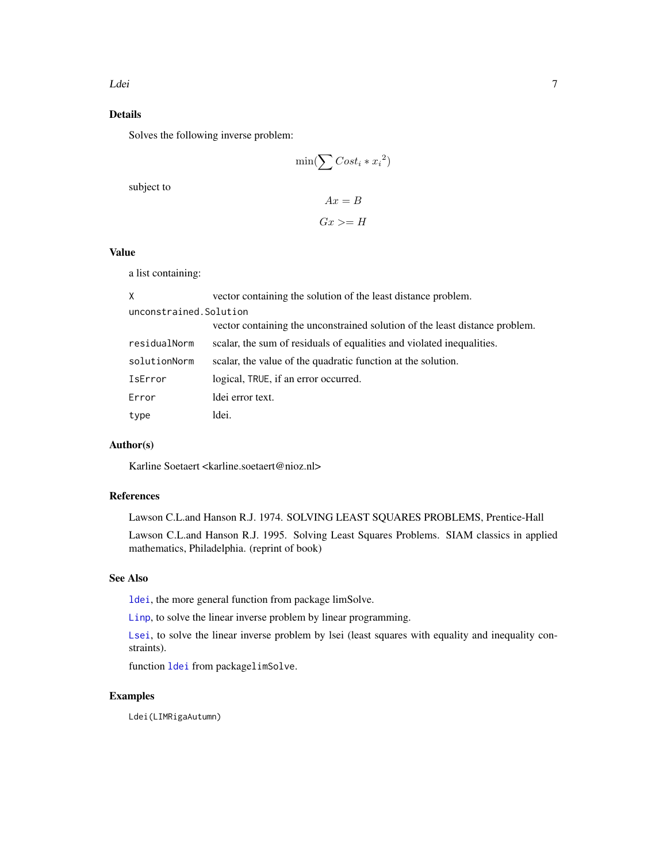# <span id="page-6-0"></span>Details

Solves the following inverse problem:

$$
\min(\sum Cost_i * x_i^2)
$$

subject to

$$
Ax = B
$$

$$
Gx \geq H
$$

# Value

a list containing:

| X                       | vector containing the solution of the least distance problem.               |
|-------------------------|-----------------------------------------------------------------------------|
| unconstrained. Solution |                                                                             |
|                         | vector containing the unconstrained solution of the least distance problem. |
| residualNorm            | scalar, the sum of residuals of equalities and violated inequalities.       |
| solutionNorm            | scalar, the value of the quadratic function at the solution.                |
| IsError                 | logical, TRUE, if an error occurred.                                        |
| Error                   | ldei error text.                                                            |
| type                    | ldei.                                                                       |

# Author(s)

Karline Soetaert <karline.soetaert@nioz.nl>

# References

Lawson C.L.and Hanson R.J. 1974. SOLVING LEAST SQUARES PROBLEMS, Prentice-Hall

Lawson C.L.and Hanson R.J. 1995. Solving Least Squares Problems. SIAM classics in applied mathematics, Philadelphia. (reprint of book)

# See Also

[ldei](#page-0-0), the more general function from package limSolve.

[Linp](#page-22-1), to solve the linear inverse problem by linear programming.

[Lsei](#page-24-1), to solve the linear inverse problem by lsei (least squares with equality and inequality constraints).

function [ldei](#page-0-0) from packagelimSolve.

# Examples

Ldei(LIMRigaAutumn)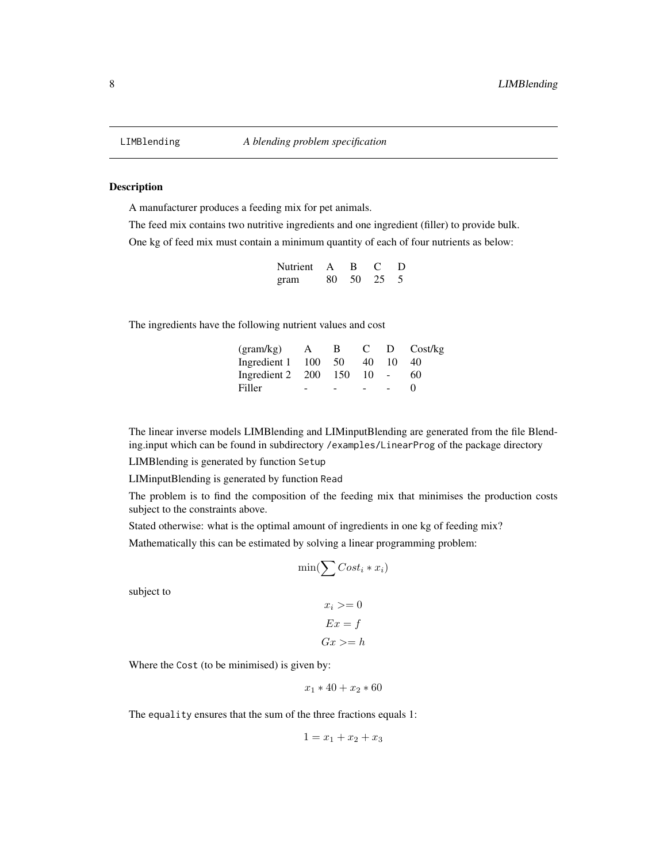#### <span id="page-7-0"></span>Description

A manufacturer produces a feeding mix for pet animals.

The feed mix contains two nutritive ingredients and one ingredient (filler) to provide bulk. One kg of feed mix must contain a minimum quantity of each of four nutrients as below:

| Nutrient | A   | B  |    | D |
|----------|-----|----|----|---|
| gram     | 80- | 50 | 25 |   |

The ingredients have the following nutrient values and cost

| (gram/kg)        | $\mathbf{A}$ | B.  | $\mathbf{C}$ |    | D Cost/kg         |
|------------------|--------------|-----|--------------|----|-------------------|
| Ingredient 1 100 |              | -50 | 40           | 10 | 40                |
| Ingredient 2 200 |              | 150 | $10 - 1$     |    | 60                |
| Filler           | -            | ۰   |              |    | $\mathbf{\Omega}$ |

The linear inverse models LIMBlending and LIMinputBlending are generated from the file Blending.input which can be found in subdirectory /examples/LinearProg of the package directory

LIMBlending is generated by function Setup

LIMinputBlending is generated by function Read

The problem is to find the composition of the feeding mix that minimises the production costs subject to the constraints above.

Stated otherwise: what is the optimal amount of ingredients in one kg of feeding mix?

Mathematically this can be estimated by solving a linear programming problem:

$$
\min(\sum Cost_i * x_i)
$$

subject to

$$
x_i \geq 0
$$

$$
Ex = f
$$

$$
Gx \geq h
$$

Where the Cost (to be minimised) is given by:

$$
x_1 * 40 + x_2 * 60
$$

The equality ensures that the sum of the three fractions equals 1:

$$
1 = x_1 + x_2 + x_3
$$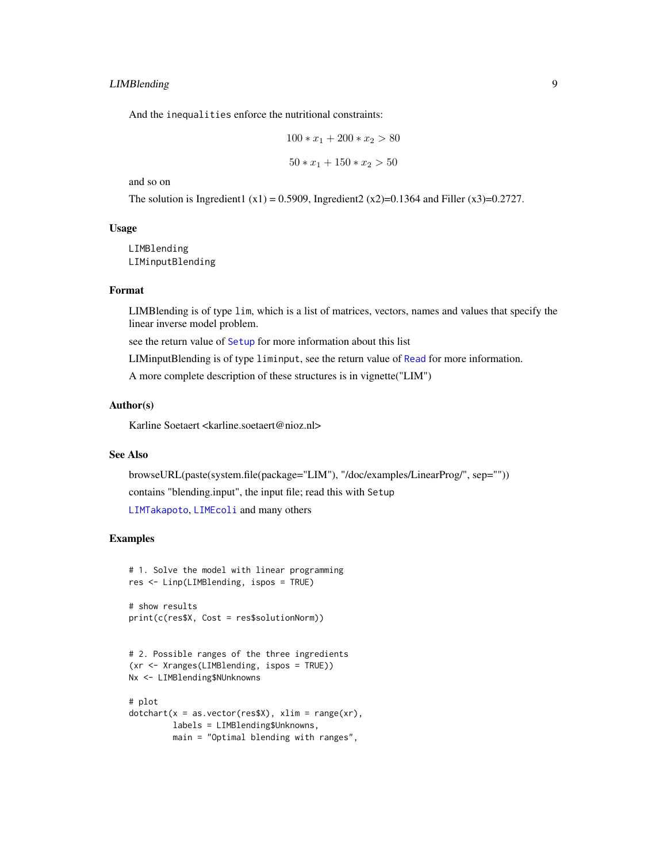# <span id="page-8-0"></span>LIMBlending 9

And the inequalities enforce the nutritional constraints:

$$
100 * x_1 + 200 * x_2 > 80
$$
  

$$
50 * x_1 + 150 * x_2 > 50
$$

and so on

The solution is Ingredient1 (x1) = 0.5909, Ingredient2 (x2)=0.1364 and Filler (x3)=0.2727.

# Usage

LIMBlending LIMinputBlending

#### Format

LIMBlending is of type lim, which is a list of matrices, vectors, names and values that specify the linear inverse model problem.

see the return value of [Setup](#page-31-1) for more information about this list

LIMinputBlending is of type liminput, see the return value of [Read](#page-29-1) for more information.

A more complete description of these structures is in vignette("LIM")

#### Author(s)

Karline Soetaert <karline.soetaert@nioz.nl>

# See Also

browseURL(paste(system.file(package="LIM"), "/doc/examples/LinearProg/", sep="")) contains "blending.input", the input file; read this with Setup [LIMTakapoto](#page-21-1), [LIMEcoli](#page-13-1) and many others

#### Examples

```
# 1. Solve the model with linear programming
res <- Linp(LIMBlending, ispos = TRUE)
# show results
```

```
print(c(res$X, Cost = res$solutionNorm))
```

```
# 2. Possible ranges of the three ingredients
(xr <- Xranges(LIMBlending, ispos = TRUE))
Nx <- LIMBlending$NUnknowns
```

```
# plot
dotcharf(x = as.vector(res$X), xlim = range(xr),labels = LIMBlending$Unknowns,
        main = "Optimal blending with ranges",
```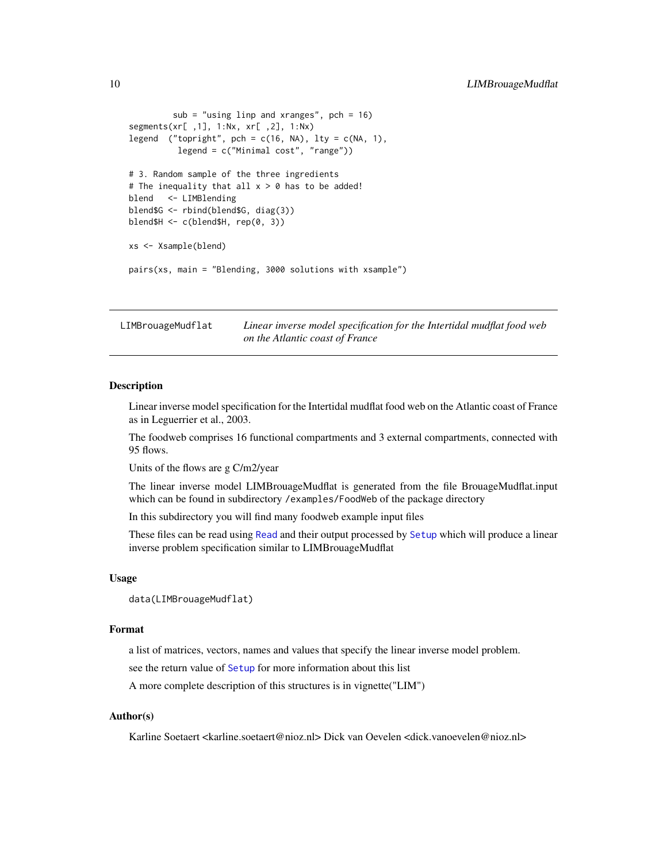```
sub = "using linp and xranges", pch = 16)
segments(xr[ ,1], 1:Nx, xr[ ,2], 1:Nx)
legend ("topright", pch = c(16, NA), lty = c(NA, 1),
          legend = c("Minimal cost", "range"))
# 3. Random sample of the three ingredients
# The inequality that all x > 0 has to be added!
blend <- LIMBlending
blend$G <- rbind(blend$G, diag(3))
blend$H <- c(blend$H, rep(0, 3))
xs <- Xsample(blend)
pairs(xs, main = "Blending, 3000 solutions with xsample")
```
LIMBrouageMudflat *Linear inverse model specification for the Intertidal mudflat food web on the Atlantic coast of France*

#### **Description**

Linear inverse model specification for the Intertidal mudflat food web on the Atlantic coast of France as in Leguerrier et al., 2003.

The foodweb comprises 16 functional compartments and 3 external compartments, connected with 95 flows.

Units of the flows are g C/m2/year

The linear inverse model LIMBrouageMudflat is generated from the file BrouageMudflat.input which can be found in subdirectory /examples/FoodWeb of the package directory

In this subdirectory you will find many foodweb example input files

These files can be read using [Read](#page-29-1) and their output processed by [Setup](#page-31-1) which will produce a linear inverse problem specification similar to LIMBrouageMudflat

#### Usage

```
data(LIMBrouageMudflat)
```
#### Format

a list of matrices, vectors, names and values that specify the linear inverse model problem.

see the return value of [Setup](#page-31-1) for more information about this list

A more complete description of this structures is in vignette("LIM")

# Author(s)

Karline Soetaert <karline.soetaert@nioz.nl> Dick van Oevelen <dick.vanoevelen@nioz.nl>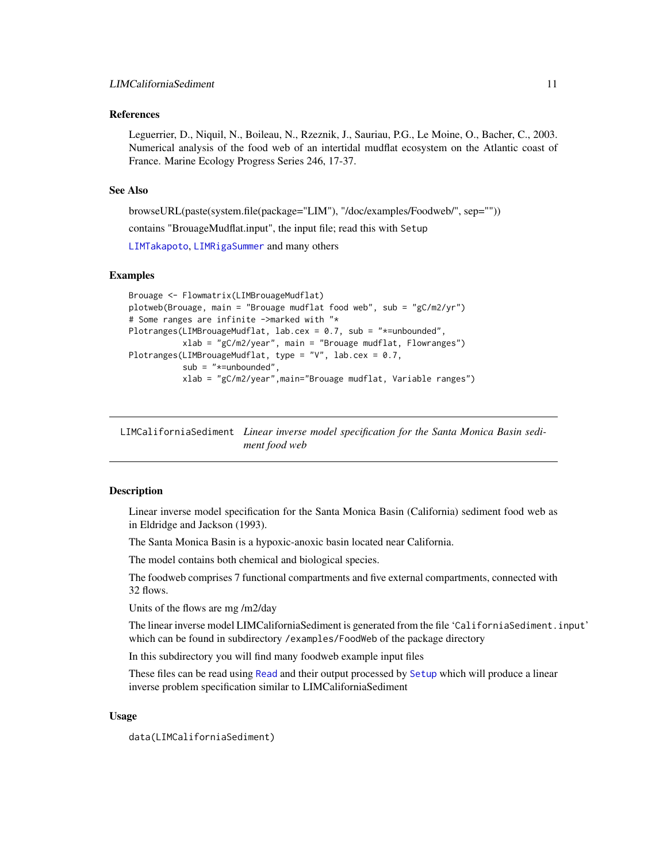#### <span id="page-10-0"></span>References

Leguerrier, D., Niquil, N., Boileau, N., Rzeznik, J., Sauriau, P.G., Le Moine, O., Bacher, C., 2003. Numerical analysis of the food web of an intertidal mudflat ecosystem on the Atlantic coast of France. Marine Ecology Progress Series 246, 17-37.

# See Also

browseURL(paste(system.file(package="LIM"), "/doc/examples/Foodweb/", sep=""))

contains "BrouageMudflat.input", the input file; read this with Setup

[LIMTakapoto](#page-21-1), [LIMRigaSummer](#page-19-1) and many others

#### Examples

```
Brouage <- Flowmatrix(LIMBrouageMudflat)
plotweb(Brouage, main = "Brouage mudflat food web", sub = "gC/m2/yr")
# Some ranges are infinite ->marked with "*
Plotranges(LIMBrouageMudflat, lab.cex = 0.7, sub = "*=unbounded",
           xlab = "gC/m2/year", main = "Brouage mudflat, Flowranges")
Plotranges(LIMBrouageMudflat, type = "V", lab.cex = 0.7,
           sub = "*=unbounded",
           xlab = "gC/m2/year",main="Brouage mudflat, Variable ranges")
```
LIMCaliforniaSediment *Linear inverse model specification for the Santa Monica Basin sediment food web*

#### Description

Linear inverse model specification for the Santa Monica Basin (California) sediment food web as in Eldridge and Jackson (1993).

The Santa Monica Basin is a hypoxic-anoxic basin located near California.

The model contains both chemical and biological species.

The foodweb comprises 7 functional compartments and five external compartments, connected with 32 flows.

Units of the flows are mg /m2/day

The linear inverse model LIMCaliforniaSediment is generated from the file 'CaliforniaSediment.input' which can be found in subdirectory /examples/FoodWeb of the package directory

In this subdirectory you will find many foodweb example input files

These files can be read using [Read](#page-29-1) and their output processed by [Setup](#page-31-1) which will produce a linear inverse problem specification similar to LIMCaliforniaSediment

#### Usage

data(LIMCaliforniaSediment)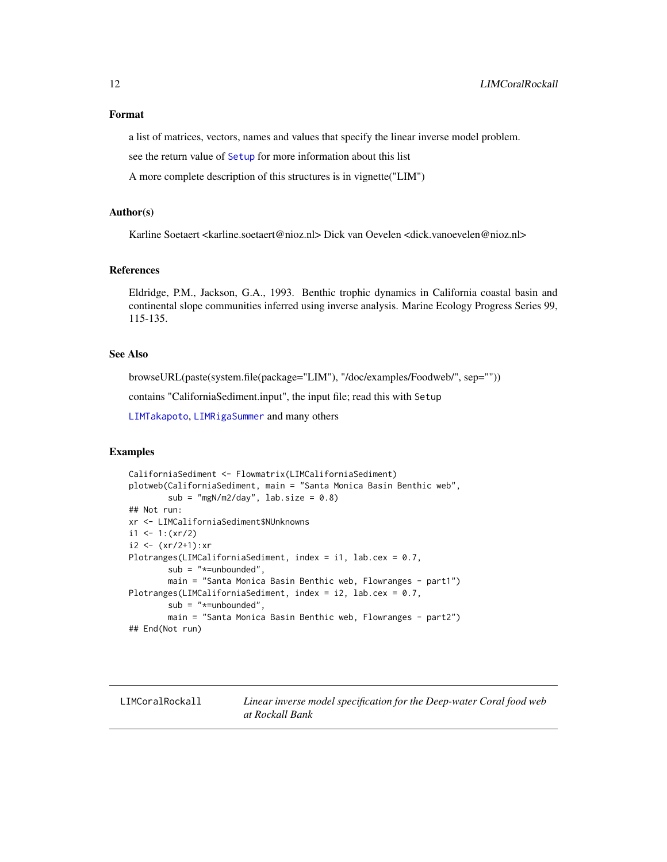# <span id="page-11-0"></span>Format

a list of matrices, vectors, names and values that specify the linear inverse model problem.

see the return value of [Setup](#page-31-1) for more information about this list

A more complete description of this structures is in vignette("LIM")

### Author(s)

Karline Soetaert <karline.soetaert@nioz.nl> Dick van Oevelen <dick.vanoevelen@nioz.nl>

#### References

Eldridge, P.M., Jackson, G.A., 1993. Benthic trophic dynamics in California coastal basin and continental slope communities inferred using inverse analysis. Marine Ecology Progress Series 99, 115-135.

# See Also

browseURL(paste(system.file(package="LIM"), "/doc/examples/Foodweb/", sep=""))

contains "CaliforniaSediment.input", the input file; read this with Setup

[LIMTakapoto](#page-21-1), [LIMRigaSummer](#page-19-1) and many others

#### Examples

```
CaliforniaSediment <- Flowmatrix(LIMCaliforniaSediment)
plotweb(CaliforniaSediment, main = "Santa Monica Basin Benthic web",
       sub = "mgN/m2/day", lab.size = 0.8)## Not run:
xr <- LIMCaliforniaSediment$NUnknowns
i1 <- 1:(xr/2)i2 < - (xr/2+1):xrPlotranges(LIMCaliforniaSediment, index = i1, lab.cex = 0.7,
       sub = "*=unbounded",
       main = "Santa Monica Basin Benthic web, Flowranges - part1")
Plotranges(LIMCaliforniaSediment, index = i2, lab.cex = 0.7,
       sub = "*=unbounded",
       main = "Santa Monica Basin Benthic web, Flowranges - part2")
## End(Not run)
```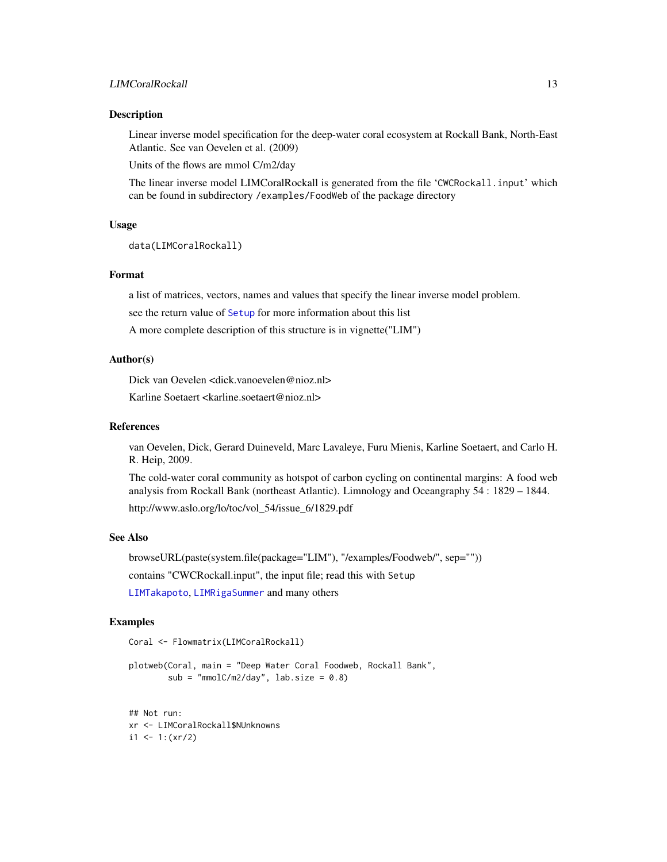#### <span id="page-12-0"></span>Description

Linear inverse model specification for the deep-water coral ecosystem at Rockall Bank, North-East Atlantic. See van Oevelen et al. (2009)

Units of the flows are mmol C/m2/day

The linear inverse model LIMCoralRockall is generated from the file 'CWCRockall.input' which can be found in subdirectory /examples/FoodWeb of the package directory

#### Usage

```
data(LIMCoralRockall)
```
#### Format

a list of matrices, vectors, names and values that specify the linear inverse model problem.

see the return value of [Setup](#page-31-1) for more information about this list

A more complete description of this structure is in vignette("LIM")

#### Author(s)

Dick van Oevelen <dick.vanoevelen@nioz.nl>

Karline Soetaert <karline.soetaert@nioz.nl>

# References

van Oevelen, Dick, Gerard Duineveld, Marc Lavaleye, Furu Mienis, Karline Soetaert, and Carlo H. R. Heip, 2009.

The cold-water coral community as hotspot of carbon cycling on continental margins: A food web analysis from Rockall Bank (northeast Atlantic). Limnology and Oceangraphy 54 : 1829 – 1844.

http://www.aslo.org/lo/toc/vol\_54/issue\_6/1829.pdf

# See Also

browseURL(paste(system.file(package="LIM"), "/examples/Foodweb/", sep="")) contains "CWCRockall.input", the input file; read this with Setup

[LIMTakapoto](#page-21-1), [LIMRigaSummer](#page-19-1) and many others

#### Examples

```
Coral <- Flowmatrix(LIMCoralRockall)
```
plotweb(Coral, main = "Deep Water Coral Foodweb, Rockall Bank",  $sub = "mmolC/m2/day", lab.size = 0.8)$ 

## Not run: xr <- LIMCoralRockall\$NUnknowns  $i1$  <- 1: $(xr/2)$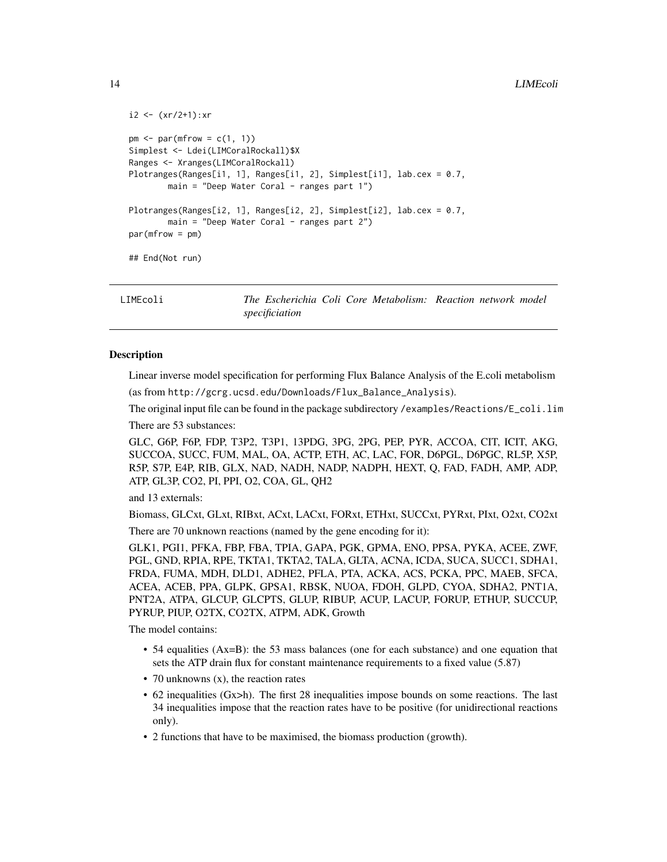```
i2 < - (xr/2+1):xrpm < -\text{par}(mfrow = c(1, 1))Simplest <- Ldei(LIMCoralRockall)$X
Ranges <- Xranges(LIMCoralRockall)
Plotranges(Ranges[i1, 1], Ranges[i1, 2], Simplest[i1], lab.cex = 0.7,
        main = "Deep Water Coral - ranges part 1")
Plotranges(Ranges[i2, 1], Ranges[i2, 2], Simplest[i2], lab.cex = 0.7,
        main = "Deep Water Coral - ranges part 2")
par(mfrow = pm)
## End(Not run)
```
<span id="page-13-1"></span>LIMEcoli *The Escherichia Coli Core Metabolism: Reaction network model specificiation*

#### **Description**

Linear inverse model specification for performing Flux Balance Analysis of the E.coli metabolism

(as from http://gcrg.ucsd.edu/Downloads/Flux\_Balance\_Analysis).

The original input file can be found in the package subdirectory /examples/Reactions/E\_coli.lim

There are 53 substances:

GLC, G6P, F6P, FDP, T3P2, T3P1, 13PDG, 3PG, 2PG, PEP, PYR, ACCOA, CIT, ICIT, AKG, SUCCOA, SUCC, FUM, MAL, OA, ACTP, ETH, AC, LAC, FOR, D6PGL, D6PGC, RL5P, X5P, R5P, S7P, E4P, RIB, GLX, NAD, NADH, NADP, NADPH, HEXT, Q, FAD, FADH, AMP, ADP, ATP, GL3P, CO2, PI, PPI, O2, COA, GL, QH2

and 13 externals:

Biomass, GLCxt, GLxt, RIBxt, ACxt, LACxt, FORxt, ETHxt, SUCCxt, PYRxt, PIxt, O2xt, CO2xt

There are 70 unknown reactions (named by the gene encoding for it):

GLK1, PGI1, PFKA, FBP, FBA, TPIA, GAPA, PGK, GPMA, ENO, PPSA, PYKA, ACEE, ZWF, PGL, GND, RPIA, RPE, TKTA1, TKTA2, TALA, GLTA, ACNA, ICDA, SUCA, SUCC1, SDHA1, FRDA, FUMA, MDH, DLD1, ADHE2, PFLA, PTA, ACKA, ACS, PCKA, PPC, MAEB, SFCA, ACEA, ACEB, PPA, GLPK, GPSA1, RBSK, NUOA, FDOH, GLPD, CYOA, SDHA2, PNT1A, PNT2A, ATPA, GLCUP, GLCPTS, GLUP, RIBUP, ACUP, LACUP, FORUP, ETHUP, SUCCUP, PYRUP, PIUP, O2TX, CO2TX, ATPM, ADK, Growth

The model contains:

- 54 equalities (Ax=B): the 53 mass balances (one for each substance) and one equation that sets the ATP drain flux for constant maintenance requirements to a fixed value (5.87)
- 70 unknowns (x), the reaction rates
- 62 inequalities (Gx>h). The first 28 inequalities impose bounds on some reactions. The last 34 inequalities impose that the reaction rates have to be positive (for unidirectional reactions only).
- 2 functions that have to be maximised, the biomass production (growth).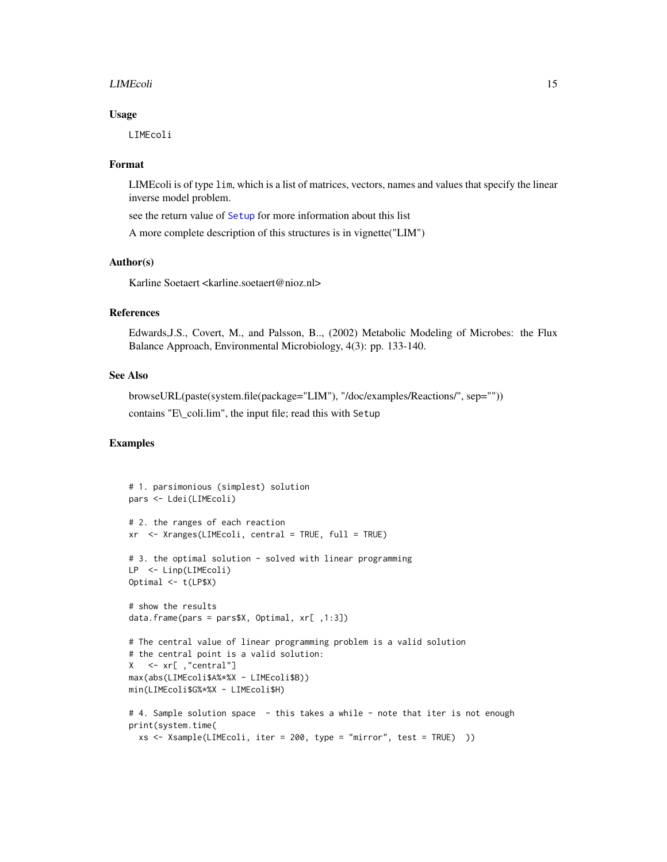#### <span id="page-14-0"></span>LIMEcoli 15

#### Usage

LIMEcoli

# Format

LIMEcoli is of type lim, which is a list of matrices, vectors, names and values that specify the linear inverse model problem.

see the return value of [Setup](#page-31-1) for more information about this list

A more complete description of this structures is in vignette("LIM")

# Author(s)

Karline Soetaert <karline.soetaert@nioz.nl>

# References

Edwards,J.S., Covert, M., and Palsson, B.., (2002) Metabolic Modeling of Microbes: the Flux Balance Approach, Environmental Microbiology, 4(3): pp. 133-140.

# See Also

browseURL(paste(system.file(package="LIM"), "/doc/examples/Reactions/", sep="")) contains "E\\_coli.lim", the input file; read this with Setup

# Examples

```
# 1. parsimonious (simplest) solution
pars <- Ldei(LIMEcoli)
# 2. the ranges of each reaction
xr <- Xranges(LIMEcoli, central = TRUE, full = TRUE)
# 3. the optimal solution - solved with linear programming
LP <- Linp(LIMEcoli)
Optimal <- t(LP$X)
# show the results
data.frame(pars = pars$X, Optimal, xr[ ,1:3])
# The central value of linear programming problem is a valid solution
# the central point is a valid solution:
X <- xr[ ,"central"]
max(abs(LIMEcoli$A%*%X - LIMEcoli$B))
min(LIMEcoli$G%*%X - LIMEcoli$H)
# 4. Sample solution space - this takes a while - note that iter is not enough
print(system.time(
  xs <- Xsample(LIMEcoli, iter = 200, type = "mirror", test = TRUE) ))
```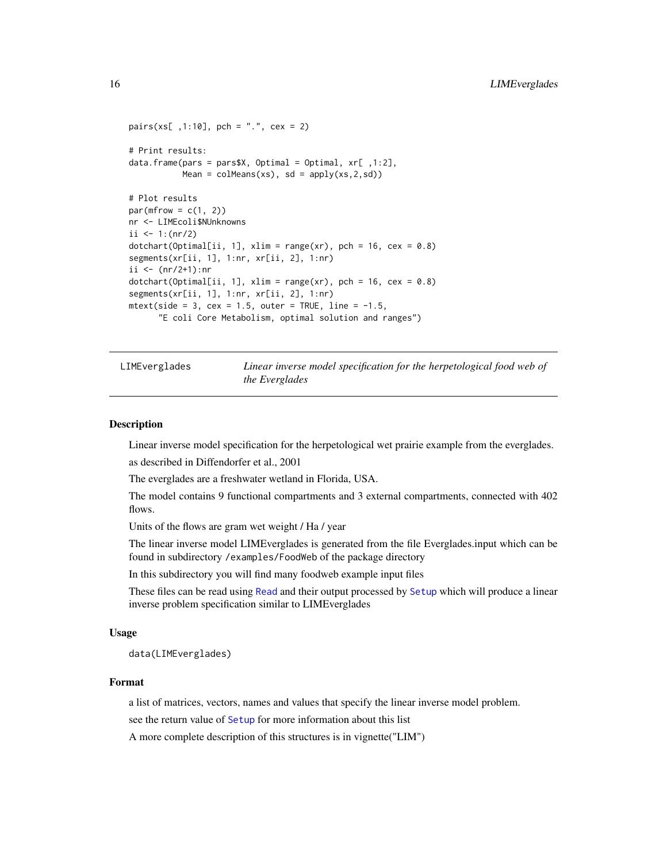```
pairs(xs[ ,1:10], \text{ pch} = "." , \text{ cex} = 2)# Print results:
data.frame(pars = pars$X, Optimal = Optimal, xr[ ,1:2],
           Mean = colMeans(xs), sd = apply(xs, 2, sd)# Plot results
par(mfrow = c(1, 2))nr <- LIMEcoli$NUnknowns
ii <- 1:(nr/2)dotchart(Optimal[ii, 1], xlim = range(xr), pch = 16, cex = 0.8)segments(xr[ii, 1], 1:nr, xr[ii, 2], 1:nr)
ii <- (nr/2+1):nr
dotchart(Optimal[ii, 1], xlim = range(xr), pch = 16, cex = 0.8)segments(xr[ii, 1], 1:nr, xr[ii, 2], 1:nr)
mtext{text(side = 3, cex = 1.5, outer = TRUE, line = -1.5,"E coli Core Metabolism, optimal solution and ranges")
```
LIMEverglades *Linear inverse model specification for the herpetological food web of the Everglades*

#### Description

Linear inverse model specification for the herpetological wet prairie example from the everglades.

as described in Diffendorfer et al., 2001

The everglades are a freshwater wetland in Florida, USA.

The model contains 9 functional compartments and 3 external compartments, connected with 402 flows.

Units of the flows are gram wet weight / Ha / year

The linear inverse model LIMEverglades is generated from the file Everglades.input which can be found in subdirectory /examples/FoodWeb of the package directory

In this subdirectory you will find many foodweb example input files

These files can be read using [Read](#page-29-1) and their output processed by [Setup](#page-31-1) which will produce a linear inverse problem specification similar to LIMEverglades

#### Usage

data(LIMEverglades)

#### Format

a list of matrices, vectors, names and values that specify the linear inverse model problem.

see the return value of [Setup](#page-31-1) for more information about this list

A more complete description of this structures is in vignette("LIM")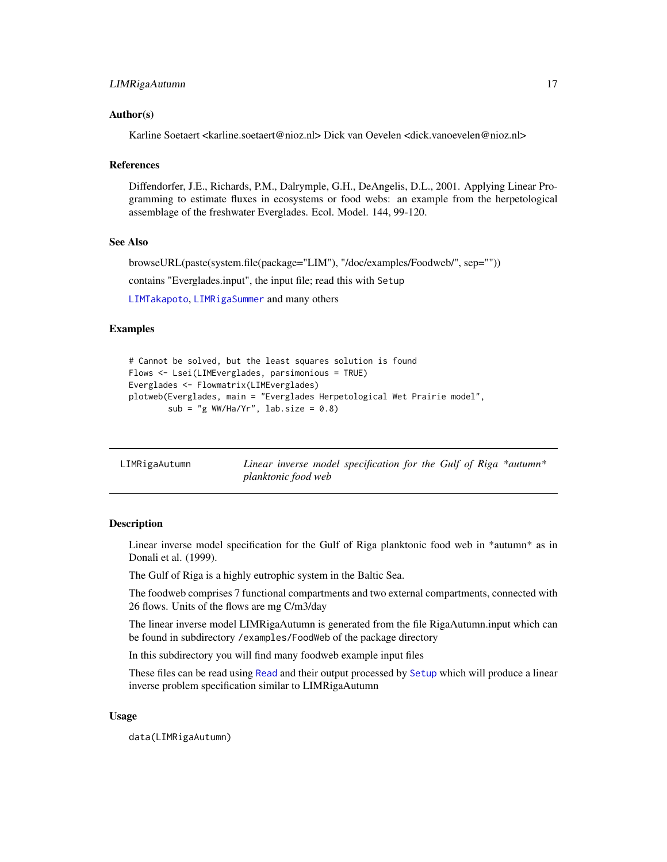#### <span id="page-16-0"></span>Author(s)

Karline Soetaert <karline.soetaert@nioz.nl> Dick van Oevelen <dick.vanoevelen@nioz.nl>

#### References

Diffendorfer, J.E., Richards, P.M., Dalrymple, G.H., DeAngelis, D.L., 2001. Applying Linear Programming to estimate fluxes in ecosystems or food webs: an example from the herpetological assemblage of the freshwater Everglades. Ecol. Model. 144, 99-120.

#### See Also

browseURL(paste(system.file(package="LIM"), "/doc/examples/Foodweb/", sep="")) contains "Everglades.input", the input file; read this with Setup [LIMTakapoto](#page-21-1), [LIMRigaSummer](#page-19-1) and many others

#### Examples

```
# Cannot be solved, but the least squares solution is found
Flows <- Lsei(LIMEverglades, parsimonious = TRUE)
Everglades <- Flowmatrix(LIMEverglades)
plotweb(Everglades, main = "Everglades Herpetological Wet Prairie model",
        sub = "g WW/Ha/Yr", lab.size = 0.8)
```
<span id="page-16-1"></span>LIMRigaAutumn *Linear inverse model specification for the Gulf of Riga \*autumn\* planktonic food web*

#### **Description**

Linear inverse model specification for the Gulf of Riga planktonic food web in \*autumn\* as in Donali et al. (1999).

The Gulf of Riga is a highly eutrophic system in the Baltic Sea.

The foodweb comprises 7 functional compartments and two external compartments, connected with 26 flows. Units of the flows are mg C/m3/day

The linear inverse model LIMRigaAutumn is generated from the file RigaAutumn.input which can be found in subdirectory /examples/FoodWeb of the package directory

In this subdirectory you will find many foodweb example input files

These files can be read using [Read](#page-29-1) and their output processed by [Setup](#page-31-1) which will produce a linear inverse problem specification similar to LIMRigaAutumn

#### Usage

data(LIMRigaAutumn)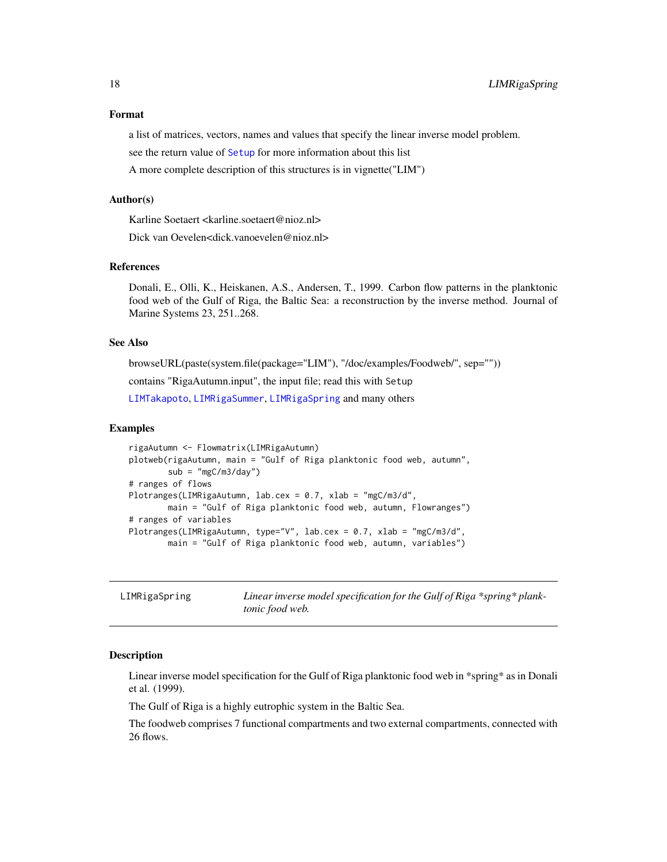#### <span id="page-17-0"></span>Format

a list of matrices, vectors, names and values that specify the linear inverse model problem.

see the return value of [Setup](#page-31-1) for more information about this list

A more complete description of this structures is in vignette("LIM")

#### Author(s)

Karline Soetaert <karline.soetaert@nioz.nl>

Dick van Oevelen<dick.vanoevelen@nioz.nl>

#### References

Donali, E., Olli, K., Heiskanen, A.S., Andersen, T., 1999. Carbon flow patterns in the planktonic food web of the Gulf of Riga, the Baltic Sea: a reconstruction by the inverse method. Journal of Marine Systems 23, 251..268.

## See Also

browseURL(paste(system.file(package="LIM"), "/doc/examples/Foodweb/", sep=""))

contains "RigaAutumn.input", the input file; read this with Setup

[LIMTakapoto](#page-21-1), [LIMRigaSummer](#page-19-1), [LIMRigaSpring](#page-17-1) and many others

#### Examples

```
rigaAutumn <- Flowmatrix(LIMRigaAutumn)
plotweb(rigaAutumn, main = "Gulf of Riga planktonic food web, autumn",
       sub = "mgC/m3/day")# ranges of flows
Plotranges(LIMRigaAutumn, lab.cex = 0.7, xlab = "mgC/m3/d",
       main = "Gulf of Riga planktonic food web, autumn, Flowranges")
# ranges of variables
Plotranges(LIMRigaAutumn, type="V", lab.cex = 0.7, xlab = "mgC/m3/d",
       main = "Gulf of Riga planktonic food web, autumn, variables")
```
<span id="page-17-1"></span>LIMRigaSpring *Linear inverse model specification for the Gulf of Riga \*spring\* planktonic food web.*

#### **Description**

Linear inverse model specification for the Gulf of Riga planktonic food web in \*spring\* as in Donali et al. (1999).

The Gulf of Riga is a highly eutrophic system in the Baltic Sea.

The foodweb comprises 7 functional compartments and two external compartments, connected with 26 flows.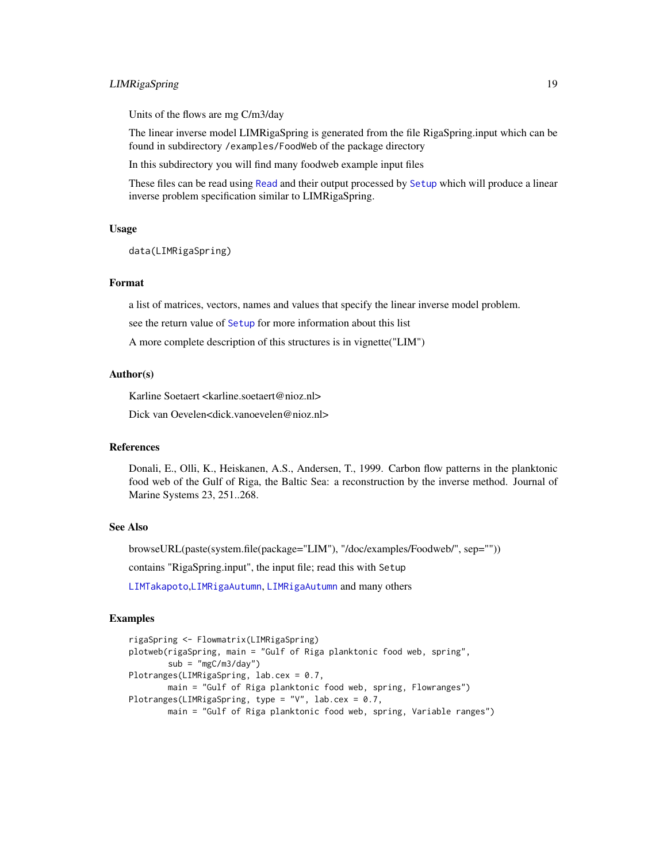# <span id="page-18-0"></span>LIMRigaSpring 19

Units of the flows are mg C/m3/day

The linear inverse model LIMRigaSpring is generated from the file RigaSpring.input which can be found in subdirectory /examples/FoodWeb of the package directory

In this subdirectory you will find many foodweb example input files

These files can be read using [Read](#page-29-1) and their output processed by [Setup](#page-31-1) which will produce a linear inverse problem specification similar to LIMRigaSpring.

#### Usage

data(LIMRigaSpring)

# Format

a list of matrices, vectors, names and values that specify the linear inverse model problem.

see the return value of [Setup](#page-31-1) for more information about this list

A more complete description of this structures is in vignette("LIM")

#### Author(s)

Karline Soetaert <karline.soetaert@nioz.nl>

Dick van Oevelen<dick.vanoevelen@nioz.nl>

#### References

Donali, E., Olli, K., Heiskanen, A.S., Andersen, T., 1999. Carbon flow patterns in the planktonic food web of the Gulf of Riga, the Baltic Sea: a reconstruction by the inverse method. Journal of Marine Systems 23, 251..268.

# See Also

browseURL(paste(system.file(package="LIM"), "/doc/examples/Foodweb/", sep="")) contains "RigaSpring.input", the input file; read this with Setup [LIMTakapoto](#page-21-1),[LIMRigaAutumn](#page-16-1), [LIMRigaAutumn](#page-16-1) and many others

#### Examples

```
rigaSpring <- Flowmatrix(LIMRigaSpring)
plotweb(rigaSpring, main = "Gulf of Riga planktonic food web, spring",
       sub = "mgC/m3/day")Plotranges(LIMRigaSpring, lab.cex = 0.7,
       main = "Gulf of Riga planktonic food web, spring, Flowranges")
Plotranges(LIMRigaSpring, type = "V", lab.cex = 0.7,
       main = "Gulf of Riga planktonic food web, spring, Variable ranges")
```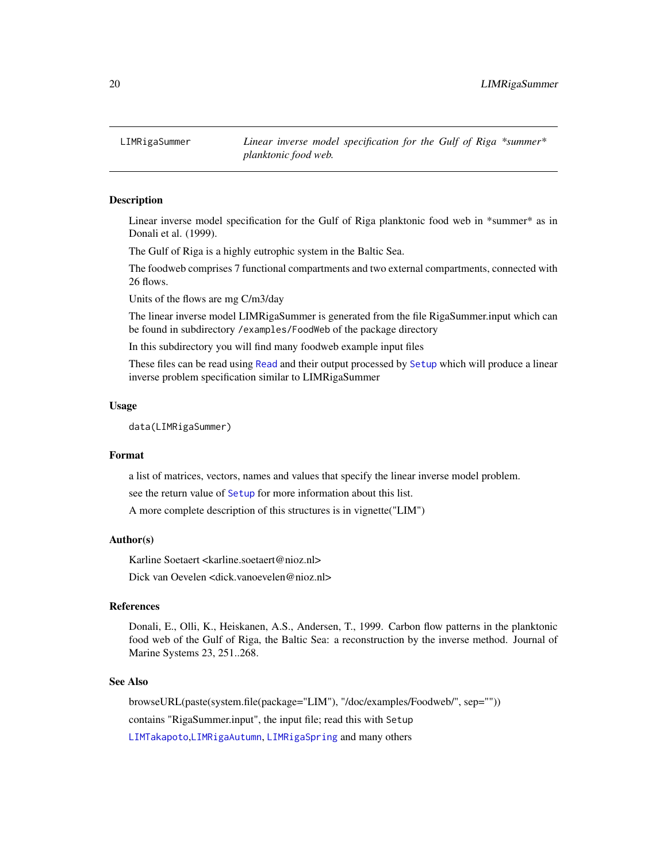<span id="page-19-1"></span><span id="page-19-0"></span>

#### **Description**

Linear inverse model specification for the Gulf of Riga planktonic food web in \*summer\* as in Donali et al. (1999).

The Gulf of Riga is a highly eutrophic system in the Baltic Sea.

The foodweb comprises 7 functional compartments and two external compartments, connected with 26 flows.

Units of the flows are mg C/m3/day

The linear inverse model LIMRigaSummer is generated from the file RigaSummer.input which can be found in subdirectory /examples/FoodWeb of the package directory

In this subdirectory you will find many foodweb example input files

These files can be read using [Read](#page-29-1) and their output processed by [Setup](#page-31-1) which will produce a linear inverse problem specification similar to LIMRigaSummer

#### Usage

```
data(LIMRigaSummer)
```
# Format

a list of matrices, vectors, names and values that specify the linear inverse model problem.

see the return value of [Setup](#page-31-1) for more information about this list.

A more complete description of this structures is in vignette("LIM")

#### Author(s)

Karline Soetaert <karline.soetaert@nioz.nl>

Dick van Oevelen <dick.vanoevelen@nioz.nl>

#### References

Donali, E., Olli, K., Heiskanen, A.S., Andersen, T., 1999. Carbon flow patterns in the planktonic food web of the Gulf of Riga, the Baltic Sea: a reconstruction by the inverse method. Journal of Marine Systems 23, 251..268.

#### See Also

browseURL(paste(system.file(package="LIM"), "/doc/examples/Foodweb/", sep="")) contains "RigaSummer.input", the input file; read this with Setup [LIMTakapoto](#page-21-1),[LIMRigaAutumn](#page-16-1), [LIMRigaSpring](#page-17-1) and many others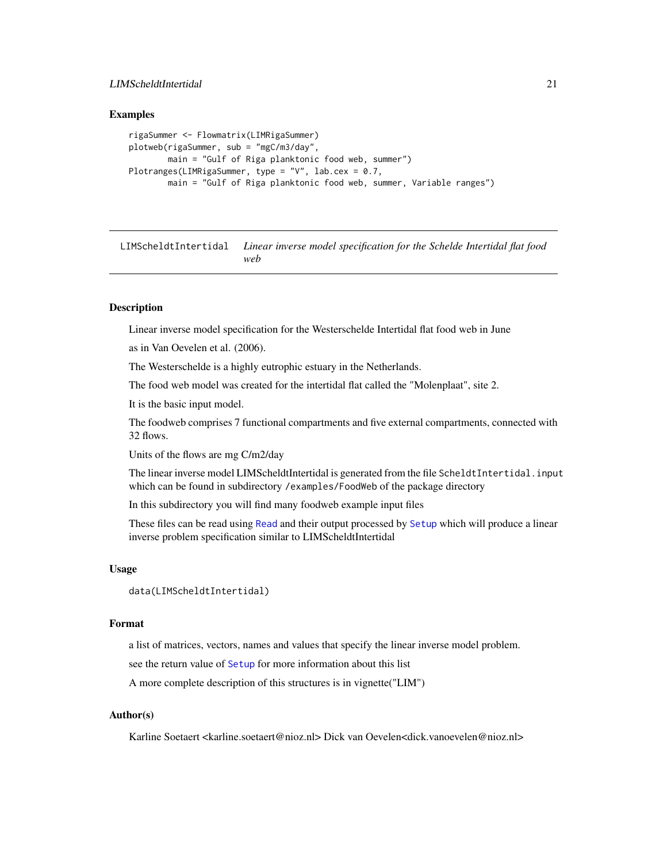# <span id="page-20-0"></span>LIMScheldtIntertidal 21

#### Examples

```
rigaSummer <- Flowmatrix(LIMRigaSummer)
plotweb(rigaSummer, sub = "mgC/m3/day",
       main = "Gulf of Riga planktonic food web, summer")
Plotranges(LIMRigaSummer, type = "V", lab.cex = 0.7,
       main = "Gulf of Riga planktonic food web, summer, Variable ranges")
```
LIMScheldtIntertidal *Linear inverse model specification for the Schelde Intertidal flat food web*

#### **Description**

Linear inverse model specification for the Westerschelde Intertidal flat food web in June

as in Van Oevelen et al. (2006).

The Westerschelde is a highly eutrophic estuary in the Netherlands.

The food web model was created for the intertidal flat called the "Molenplaat", site 2.

It is the basic input model.

The foodweb comprises 7 functional compartments and five external compartments, connected with 32 flows.

Units of the flows are mg C/m2/day

The linear inverse model LIMScheldtIntertidal is generated from the file ScheldtIntertidal.input which can be found in subdirectory /examples/FoodWeb of the package directory

In this subdirectory you will find many foodweb example input files

These files can be read using [Read](#page-29-1) and their output processed by [Setup](#page-31-1) which will produce a linear inverse problem specification similar to LIMScheldtIntertidal

#### Usage

```
data(LIMScheldtIntertidal)
```
#### Format

a list of matrices, vectors, names and values that specify the linear inverse model problem.

see the return value of [Setup](#page-31-1) for more information about this list

A more complete description of this structures is in vignette("LIM")

#### Author(s)

Karline Soetaert <karline.soetaert@nioz.nl> Dick van Oevelen<dick.vanoevelen@nioz.nl>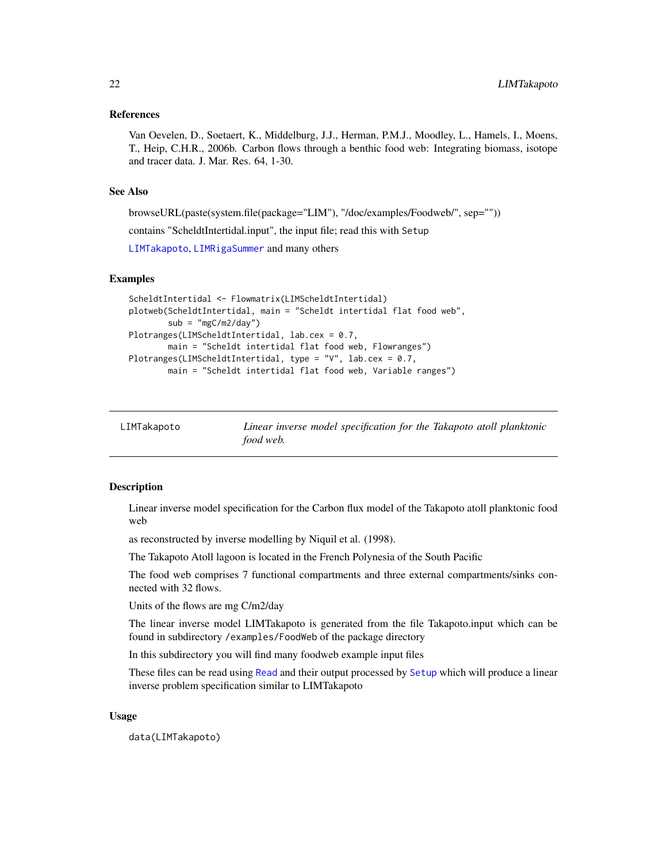#### <span id="page-21-0"></span>References

Van Oevelen, D., Soetaert, K., Middelburg, J.J., Herman, P.M.J., Moodley, L., Hamels, I., Moens, T., Heip, C.H.R., 2006b. Carbon flows through a benthic food web: Integrating biomass, isotope and tracer data. J. Mar. Res. 64, 1-30.

# See Also

browseURL(paste(system.file(package="LIM"), "/doc/examples/Foodweb/", sep=""))

contains "ScheldtIntertidal.input", the input file; read this with Setup

[LIMTakapoto](#page-21-1), [LIMRigaSummer](#page-19-1) and many others

#### Examples

```
ScheldtIntertidal <- Flowmatrix(LIMScheldtIntertidal)
plotweb(ScheldtIntertidal, main = "Scheldt intertidal flat food web",
       sub = "mgC/m2/day")Plotranges(LIMScheldtIntertidal, lab.cex = 0.7,
       main = "Scheldt intertidal flat food web, Flowranges")
Plotranges(LIMScheldtIntertidal, type = "V", lab.cex = 0.7,
       main = "Scheldt intertidal flat food web, Variable ranges")
```
<span id="page-21-1"></span>

| LIMTakapoto | Linear inverse model specification for the Takapoto atoll planktonic |
|-------------|----------------------------------------------------------------------|
|             | food web.                                                            |

#### Description

Linear inverse model specification for the Carbon flux model of the Takapoto atoll planktonic food web

as reconstructed by inverse modelling by Niquil et al. (1998).

The Takapoto Atoll lagoon is located in the French Polynesia of the South Pacific

The food web comprises 7 functional compartments and three external compartments/sinks connected with 32 flows.

Units of the flows are mg C/m2/day

The linear inverse model LIMTakapoto is generated from the file Takapoto.input which can be found in subdirectory /examples/FoodWeb of the package directory

In this subdirectory you will find many foodweb example input files

These files can be read using [Read](#page-29-1) and their output processed by [Setup](#page-31-1) which will produce a linear inverse problem specification similar to LIMTakapoto

#### Usage

data(LIMTakapoto)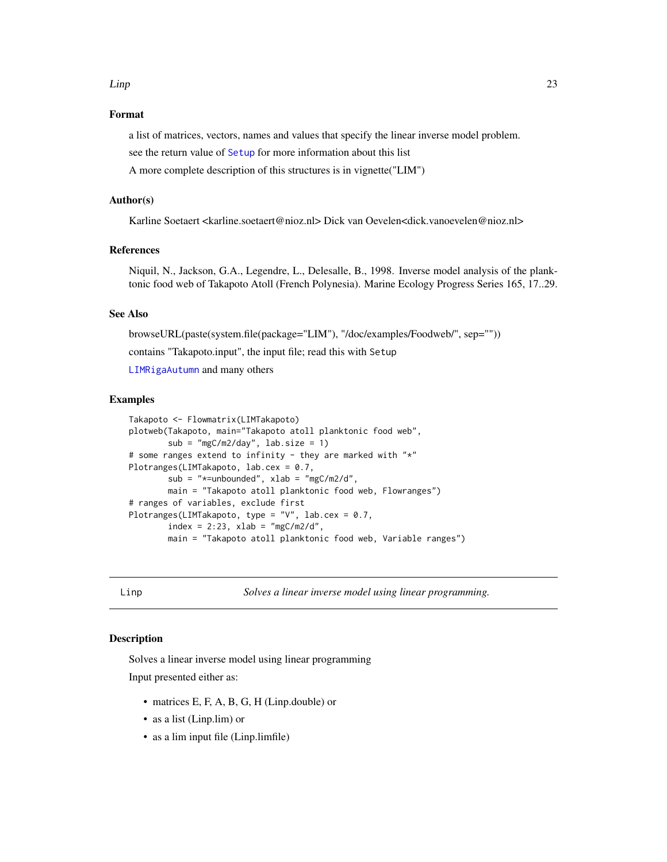#### <span id="page-22-0"></span>Linp 23

# Format

a list of matrices, vectors, names and values that specify the linear inverse model problem.

see the return value of [Setup](#page-31-1) for more information about this list

A more complete description of this structures is in vignette("LIM")

#### Author(s)

Karline Soetaert <karline.soetaert@nioz.nl> Dick van Oevelen<dick.vanoevelen@nioz.nl>

# References

Niquil, N., Jackson, G.A., Legendre, L., Delesalle, B., 1998. Inverse model analysis of the planktonic food web of Takapoto Atoll (French Polynesia). Marine Ecology Progress Series 165, 17..29.

### See Also

browseURL(paste(system.file(package="LIM"), "/doc/examples/Foodweb/", sep="")) contains "Takapoto.input", the input file; read this with Setup [LIMRigaAutumn](#page-16-1) and many others

#### Examples

```
Takapoto <- Flowmatrix(LIMTakapoto)
plotweb(Takapoto, main="Takapoto atoll planktonic food web",
        sub = "mgC/m2/day", lab.size = 1)
# some ranges extend to infinity - they are marked with "*"
Plotranges(LIMTakapoto, lab.cex = 0.7,
       sub = "*=unbounded", xlab = "mgC/m2/d",
       main = "Takapoto atoll planktonic food web, Flowranges")
# ranges of variables, exclude first
Plotranges(LIMTakapoto, type = "V", lab.cex = 0.7,
       index = 2:23, xlab = "mgC/m2/d",main = "Takapoto atoll planktonic food web, Variable ranges")
```
<span id="page-22-1"></span>

Linp *Solves a linear inverse model using linear programming.*

# Description

Solves a linear inverse model using linear programming Input presented either as:

- matrices E, F, A, B, G, H (Linp.double) or
- as a list (Linp.lim) or
- as a lim input file (Linp.limfile)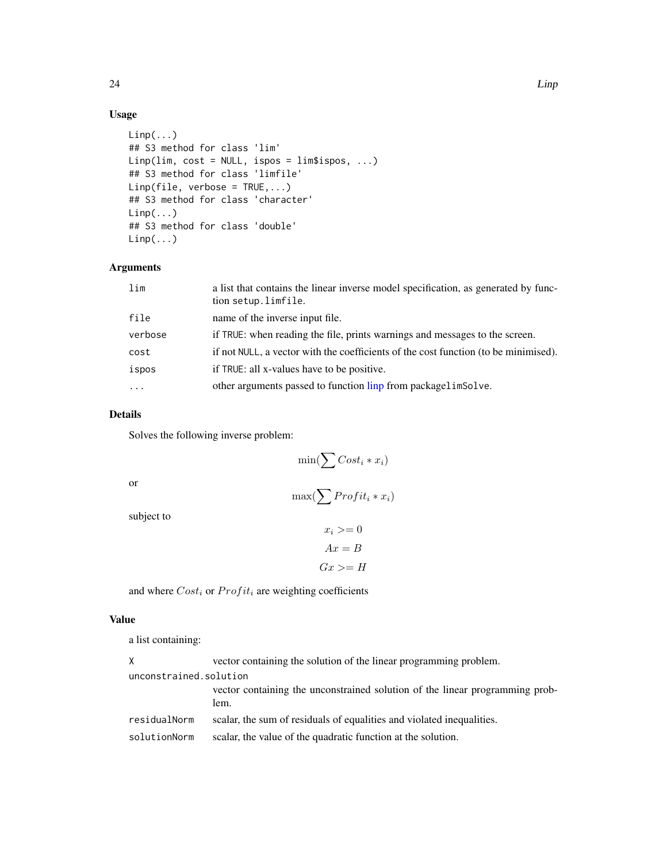# Usage

```
Linp(...)## S3 method for class 'lim'
Linp(lim, cost = NULL, ispos = lim$ispos, ...)
## S3 method for class 'limfile'
Linp(file, verbose = TRUE,...)## S3 method for class 'character'
Linp(...)
## S3 method for class 'double'
Linp(...)
```
#### Arguments

| lim     | a list that contains the linear inverse model specification, as generated by func-<br>tion setup.limfile. |
|---------|-----------------------------------------------------------------------------------------------------------|
| file    | name of the inverse input file.                                                                           |
| verbose | if TRUE: when reading the file, prints warnings and messages to the screen.                               |
| cost    | if not NULL, a vector with the coefficients of the cost function (to be minimised).                       |
| ispos   | if TRUE: all x-values have to be positive.                                                                |
|         | other arguments passed to function linp from packagelimSolve.                                             |

# Details

Solves the following inverse problem:

$$
\min(\sum Cost_i * x_i)
$$

or

# $max(\sum \text{Profit}_i * x_i)$

subject to

```
x_i >= 0Ax = BGx \geq H
```
and where  $Cost_i$  or  $Profit_i$  are weighting coefficients

#### Value

a list containing:

| X.                     | vector containing the solution of the linear programming problem.                    |
|------------------------|--------------------------------------------------------------------------------------|
| unconstrained.solution |                                                                                      |
|                        | vector containing the unconstrained solution of the linear programming prob-<br>lem. |
| residualNorm           | scalar, the sum of residuals of equalities and violated inequalities.                |
| solutionNorm           | scalar, the value of the quadratic function at the solution.                         |

<span id="page-23-0"></span>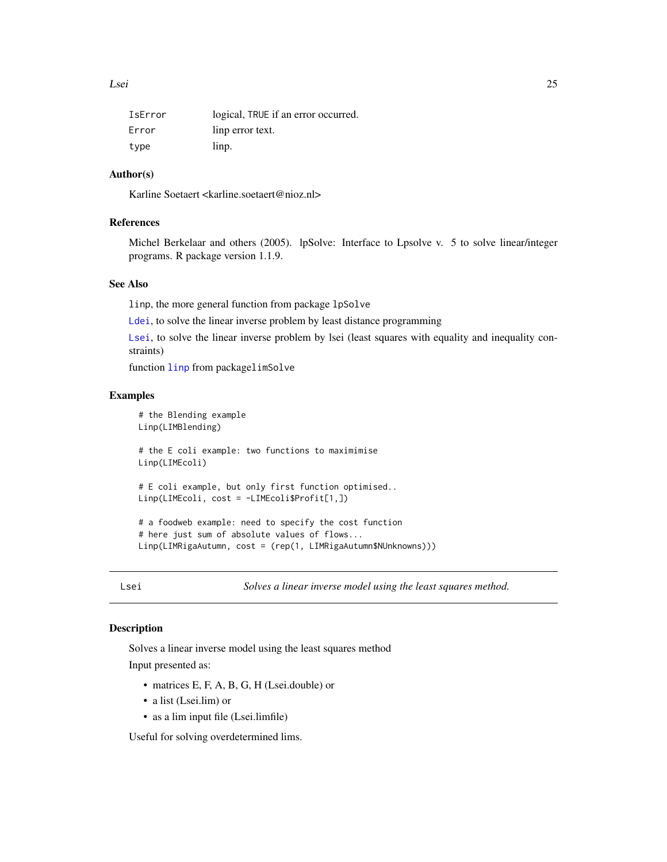<span id="page-24-0"></span>

| IsError | logical, TRUE if an error occurred. |
|---------|-------------------------------------|
| Error   | linp error text.                    |
| type    | linp.                               |

# Author(s)

Karline Soetaert <karline.soetaert@nioz.nl>

# References

Michel Berkelaar and others (2005). lpSolve: Interface to Lpsolve v. 5 to solve linear/integer programs. R package version 1.1.9.

# See Also

linp, the more general function from package lpSolve

[Ldei](#page-5-1), to solve the linear inverse problem by least distance programming

[Lsei](#page-24-1), to solve the linear inverse problem by lsei (least squares with equality and inequality constraints)

function [linp](#page-0-0) from packagelimSolve

#### Examples

```
# the Blending example
Linp(LIMBlending)
# the E coli example: two functions to maximimise
Linp(LIMEcoli)
# E coli example, but only first function optimised..
Linp(LIMEcoli, cost = -LIMEcoli$Profit[1,])
# a foodweb example: need to specify the cost function
# here just sum of absolute values of flows...
Linp(LIMRigaAutumn, cost = (rep(1, LIMRigaAutumn$NUnknowns)))
```
<span id="page-24-1"></span>Lsei *Solves a linear inverse model using the least squares method.*

# **Description**

Solves a linear inverse model using the least squares method

Input presented as:

- matrices E, F, A, B, G, H (Lsei.double) or
- a list (Lsei.lim) or
- as a lim input file (Lsei.limfile)

Useful for solving overdetermined lims.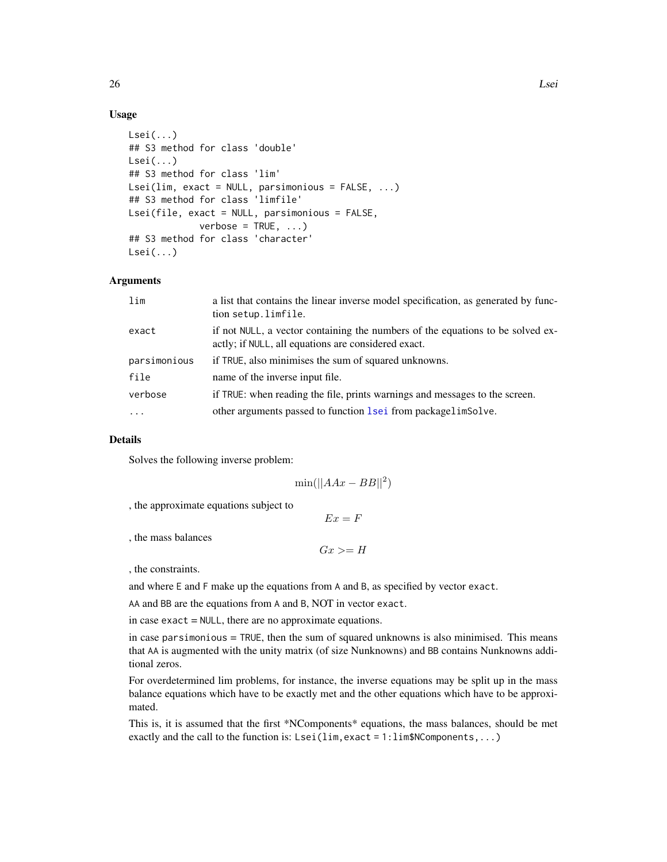# <span id="page-25-0"></span>Usage

```
Lsei(...)
## S3 method for class 'double'
Lsei(...)
## S3 method for class 'lim'
Lsei(lim, exact = NULL, parsimonious = FALSE, ...)
## S3 method for class 'limfile'
Lsei(file, exact = NULL, parsimonious = FALSE,
             verbose = TRUE, ...)## S3 method for class 'character'
Lsei\ldots)
```
# Arguments

| lim          | a list that contains the linear inverse model specification, as generated by func-<br>tion setup.limfile.                             |
|--------------|---------------------------------------------------------------------------------------------------------------------------------------|
| exact        | if not NULL, a vector containing the numbers of the equations to be solved ex-<br>actly; if NULL, all equations are considered exact. |
| parsimonious | if TRUE, also minimises the sum of squared unknowns.                                                                                  |
| file         | name of the inverse input file.                                                                                                       |
| verbose      | if TRUE: when reading the file, prints warnings and messages to the screen.                                                           |
| $\cdots$     | other arguments passed to function lsei from packagelimSolve.                                                                         |

#### Details

Solves the following inverse problem:

$$
\min(||AAx - BB||^2)
$$

, the approximate equations subject to

 $Ex = F$ 

, the mass balances

 $Gx \geq H$ 

, the constraints.

and where E and F make up the equations from A and B, as specified by vector exact.

AA and BB are the equations from A and B, NOT in vector exact.

in case exact = NULL, there are no approximate equations.

in case parsimonious  $=$  TRUE, then the sum of squared unknowns is also minimised. This means that AA is augmented with the unity matrix (of size Nunknowns) and BB contains Nunknowns additional zeros.

For overdetermined lim problems, for instance, the inverse equations may be split up in the mass balance equations which have to be exactly met and the other equations which have to be approximated.

This is, it is assumed that the first \*NComponents\* equations, the mass balances, should be met exactly and the call to the function is: Lsei(lim, exact = 1:lim\$NComponents,...)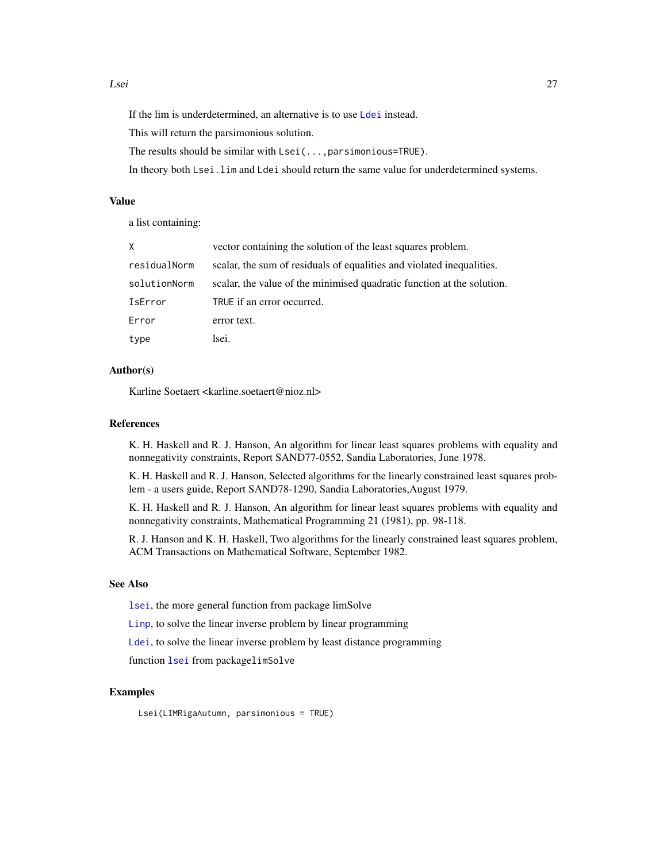#### <span id="page-26-0"></span>Lsei 27

If the lim is underdetermined, an alternative is to use [Ldei](#page-5-1) instead.

This will return the parsimonious solution.

The results should be similar with Lsei(...,parsimonious=TRUE).

In theory both Lsei.lim and Ldei should return the same value for underdetermined systems.

### Value

a list containing:

| X            | vector containing the solution of the least squares problem.           |
|--------------|------------------------------------------------------------------------|
| residualNorm | scalar, the sum of residuals of equalities and violated inequalities.  |
| solutionNorm | scalar, the value of the minimised quadratic function at the solution. |
| IsError      | TRUE if an error occurred.                                             |
| Error        | error text.                                                            |
| type         | lsei.                                                                  |

# Author(s)

Karline Soetaert <karline.soetaert@nioz.nl>

# References

K. H. Haskell and R. J. Hanson, An algorithm for linear least squares problems with equality and nonnegativity constraints, Report SAND77-0552, Sandia Laboratories, June 1978.

K. H. Haskell and R. J. Hanson, Selected algorithms for the linearly constrained least squares problem - a users guide, Report SAND78-1290, Sandia Laboratories,August 1979.

K. H. Haskell and R. J. Hanson, An algorithm for linear least squares problems with equality and nonnegativity constraints, Mathematical Programming 21 (1981), pp. 98-118.

R. J. Hanson and K. H. Haskell, Two algorithms for the linearly constrained least squares problem, ACM Transactions on Mathematical Software, September 1982.

### See Also

[lsei](#page-0-0), the more general function from package limSolve

[Linp](#page-22-1), to solve the linear inverse problem by linear programming

[Ldei](#page-5-1), to solve the linear inverse problem by least distance programming

function [lsei](#page-0-0) from packagelimSolve

#### Examples

Lsei(LIMRigaAutumn, parsimonious = TRUE)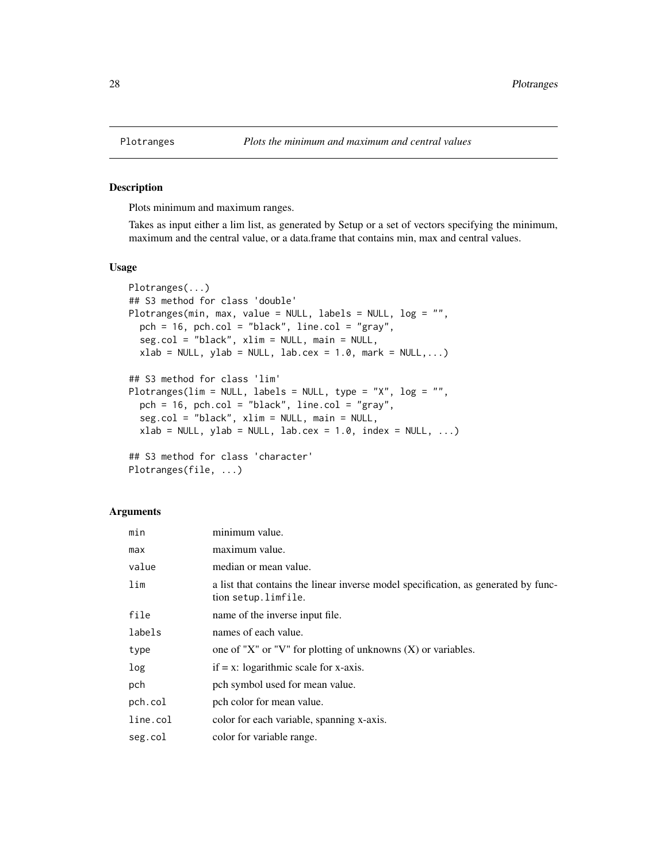#### Description

Plots minimum and maximum ranges.

Takes as input either a lim list, as generated by Setup or a set of vectors specifying the minimum, maximum and the central value, or a data.frame that contains min, max and central values.

#### Usage

```
Plotranges(...)
## S3 method for class 'double'
Plotranges(min, max, value = NULL, labels = NULL, log = "",
 pch = 16, pch.col = "black", line.col = "gray",
  seg.col = "black", xlim = NULL, main = NULL,
  xlab = NULL, ylab = NULL, lab.cex = 1.0, mark = NULL, ...)
## S3 method for class 'lim'
Plotranges(lim = NULL, labels = NULL, type = "X", log = "",
 pch = 16, pch.col = "black", line.col = "gray",
  seg.col = "black", xlim = NULL, main = NULL,
  xlab = NULL, ylab = NULL, lab.cex = 1.0, index = NULL, ...)
## S3 method for class 'character'
```

```
Plotranges(file, ...)
```
#### **Arguments**

| min      | minimum value.                                                                                            |
|----------|-----------------------------------------------------------------------------------------------------------|
| max      | maximum value.                                                                                            |
| value    | median or mean value.                                                                                     |
| lim      | a list that contains the linear inverse model specification, as generated by func-<br>tion setup.limfile. |
| file     | name of the inverse input file.                                                                           |
| labels   | names of each value.                                                                                      |
| type     | one of "X" or "V" for plotting of unknowns $(X)$ or variables.                                            |
| log      | $if = x: logarithmic scale for x-axis.$                                                                   |
| pch      | pch symbol used for mean value.                                                                           |
| pch.col  | pch color for mean value.                                                                                 |
| line.col | color for each variable, spanning x-axis.                                                                 |
| seg.col  | color for variable range.                                                                                 |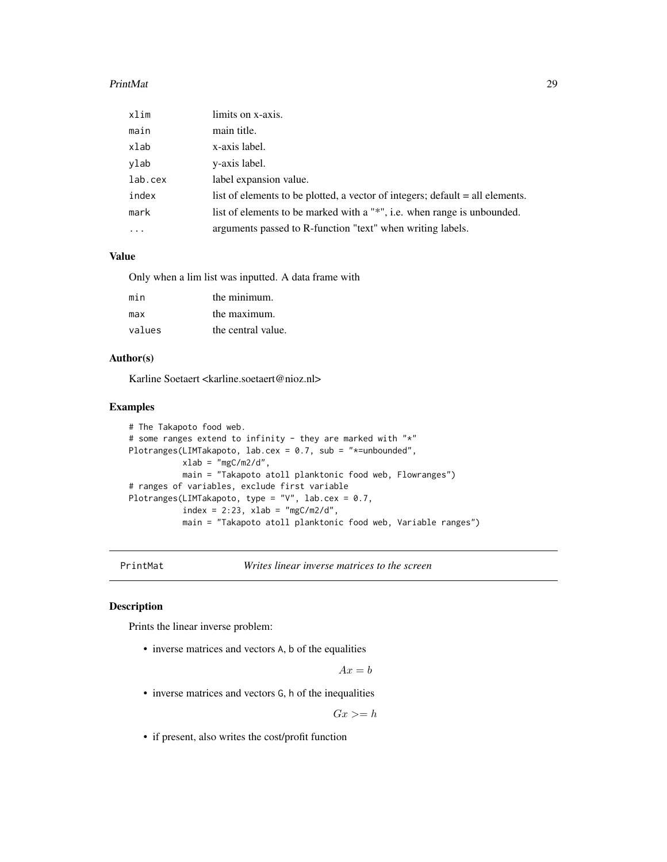#### <span id="page-28-0"></span>PrintMat 29

| xlim     | limits on x-axis.                                                             |
|----------|-------------------------------------------------------------------------------|
| main     | main title.                                                                   |
| xlab     | x-axis label.                                                                 |
| ylab     | y-axis label.                                                                 |
| lab.cex  | label expansion value.                                                        |
| index    | list of elements to be plotted, a vector of integers; default = all elements. |
| mark     | list of elements to be marked with a "*", i.e. when range is unbounded.       |
| $\cdots$ | arguments passed to R-function "text" when writing labels.                    |

# Value

Only when a lim list was inputted. A data frame with

| min    | the minimum.       |
|--------|--------------------|
| max    | the maximum.       |
| values | the central value. |

# Author(s)

Karline Soetaert <karline.soetaert@nioz.nl>

#### Examples

```
# The Takapoto food web.
# some ranges extend to infinity - they are marked with "*"
Plotranges(LIMTakapoto, lab.cex = 0.7, sub = "*=unbounded",
           xlab = "mgC/m2/d",main = "Takapoto atoll planktonic food web, Flowranges")
# ranges of variables, exclude first variable
Plotranges(LIMTakapoto, type = "V", lab.cex = 0.7,
           index = 2:23, xlab = "mgC/m2/d",main = "Takapoto atoll planktonic food web, Variable ranges")
```
PrintMat *Writes linear inverse matrices to the screen*

#### Description

Prints the linear inverse problem:

• inverse matrices and vectors A, b of the equalities

 $Ax = b$ 

• inverse matrices and vectors G, h of the inequalities

 $Gx >= h$ 

• if present, also writes the cost/profit function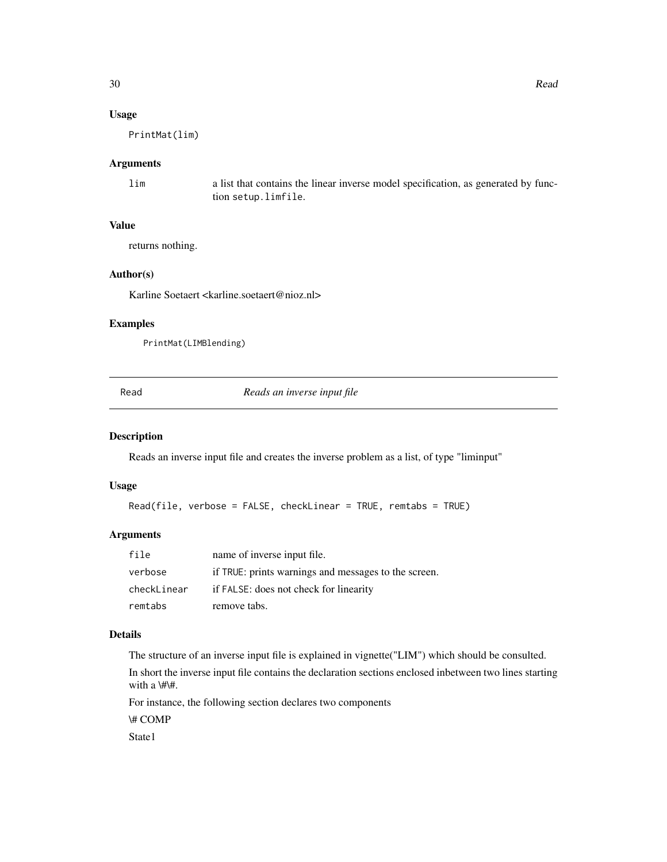# <span id="page-29-0"></span>Usage

PrintMat(lim)

#### Arguments

lim a list that contains the linear inverse model specification, as generated by function setup.limfile.

# Value

returns nothing.

# Author(s)

Karline Soetaert <karline.soetaert@nioz.nl>

# Examples

PrintMat(LIMBlending)

<span id="page-29-1"></span>Read *Reads an inverse input file*

# Description

Reads an inverse input file and creates the inverse problem as a list, of type "liminput"

#### Usage

Read(file, verbose = FALSE, checkLinear = TRUE, remtabs = TRUE)

# Arguments

| file        | name of inverse input file.                          |
|-------------|------------------------------------------------------|
| verbose     | if TRUE: prints warnings and messages to the screen. |
| checkLinear | if FALSE: does not check for linearity               |
| remtabs     | remove tabs.                                         |

# Details

The structure of an inverse input file is explained in vignette("LIM") which should be consulted.

In short the inverse input file contains the declaration sections enclosed inbetween two lines starting with a \#\#.

For instance, the following section declares two components

\# COMP

State1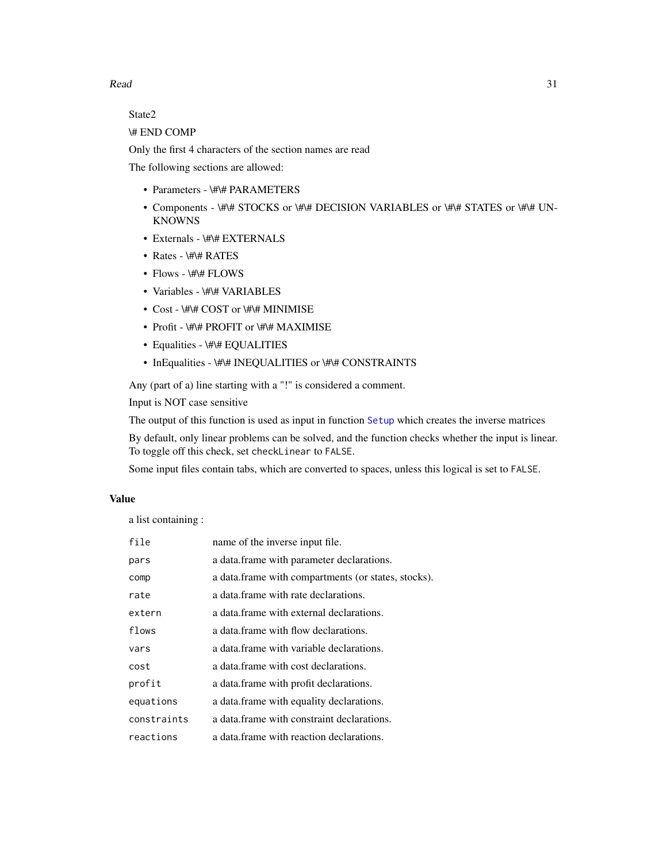<span id="page-30-0"></span> $Read$  31

State2

\# END COMP

Only the first 4 characters of the section names are read

The following sections are allowed:

- Parameters \#\# PARAMETERS
- Components \#\# STOCKS or \#\# DECISION VARIABLES or \#\# STATES or \#\# UN-KNOWNS
- Externals \#\# EXTERNALS
- Rates \#\# RATES
- Flows \#\# FLOWS
- Variables \#\# VARIABLES
- Cost \#\# COST or \#\# MINIMISE
- Profit \#\# PROFIT or \#\# MAXIMISE
- Equalities \#\# EQUALITIES
- InEqualities \#\# INEQUALITIES or \#\# CONSTRAINTS

Any (part of a) line starting with a "!" is considered a comment.

Input is NOT case sensitive

The output of this function is used as input in function [Setup](#page-31-1) which creates the inverse matrices

By default, only linear problems can be solved, and the function checks whether the input is linear. To toggle off this check, set checkLinear to FALSE.

Some input files contain tabs, which are converted to spaces, unless this logical is set to FALSE.

# Value

a list containing :

| file        | name of the inverse input file.                     |
|-------------|-----------------------------------------------------|
| pars        | a data. frame with parameter declarations.          |
| comp        | a data frame with compartments (or states, stocks). |
| rate        | a data frame with rate declarations.                |
| extern      | a data frame with external declarations.            |
| flows       | a data frame with flow declarations.                |
| vars        | a data frame with variable declarations.            |
| cost        | a data.frame with cost declarations.                |
| profit      | a data. frame with profit declarations.             |
| equations   | a data. frame with equality declarations.           |
| constraints | a data frame with constraint declarations.          |
| reactions   | a data frame with reaction declarations.            |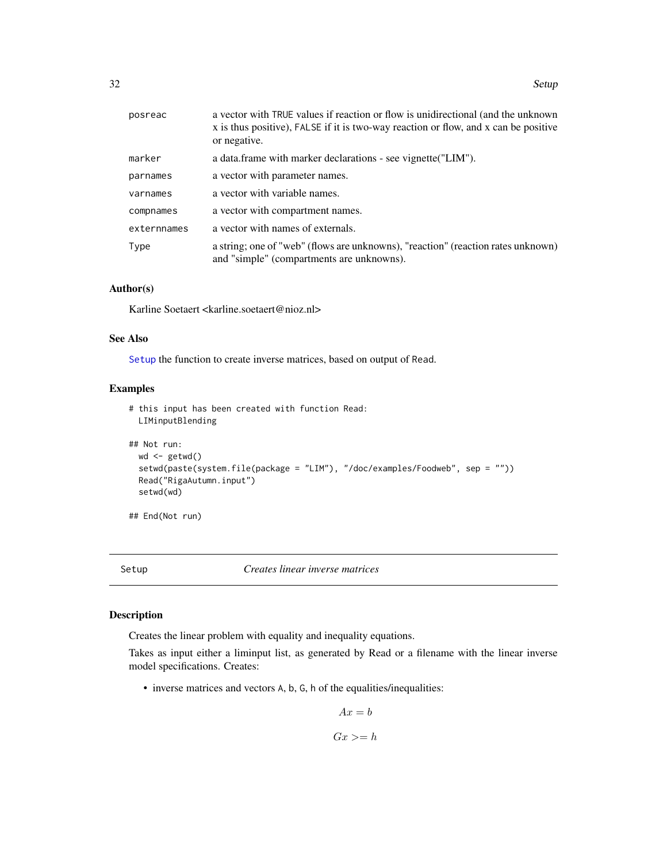<span id="page-31-0"></span>

| posreac     | a vector with TRUE values if reaction or flow is unidirectional (and the unknown<br>x is thus positive), FALSE if it is two-way reaction or flow, and x can be positive<br>or negative. |
|-------------|-----------------------------------------------------------------------------------------------------------------------------------------------------------------------------------------|
| marker      | a data.frame with marker declarations - see vignette ("LIM").                                                                                                                           |
| parnames    | a vector with parameter names.                                                                                                                                                          |
| varnames    | a vector with variable names.                                                                                                                                                           |
| compnames   | a vector with compartment names.                                                                                                                                                        |
| externnames | a vector with names of externals.                                                                                                                                                       |
| Type        | a string; one of "web" (flows are unknowns), "reaction" (reaction rates unknown)<br>and "simple" (compartments are unknowns).                                                           |

# Author(s)

Karline Soetaert <karline.soetaert@nioz.nl>

#### See Also

[Setup](#page-31-1) the function to create inverse matrices, based on output of Read.

# Examples

```
# this input has been created with function Read:
 LIMinputBlending
## Not run:
 wd \leftarrow getwd()setwd(paste(system.file(package = "LIM"), "/doc/examples/Foodweb", sep = ""))
 Read("RigaAutumn.input")
 setwd(wd)
```
## End(Not run)

<span id="page-31-1"></span>Setup *Creates linear inverse matrices*

#### Description

Creates the linear problem with equality and inequality equations.

Takes as input either a liminput list, as generated by Read or a filename with the linear inverse model specifications. Creates:

• inverse matrices and vectors A, b, G, h of the equalities/inequalities:

$$
Ax = b
$$

$$
Gx >= h
$$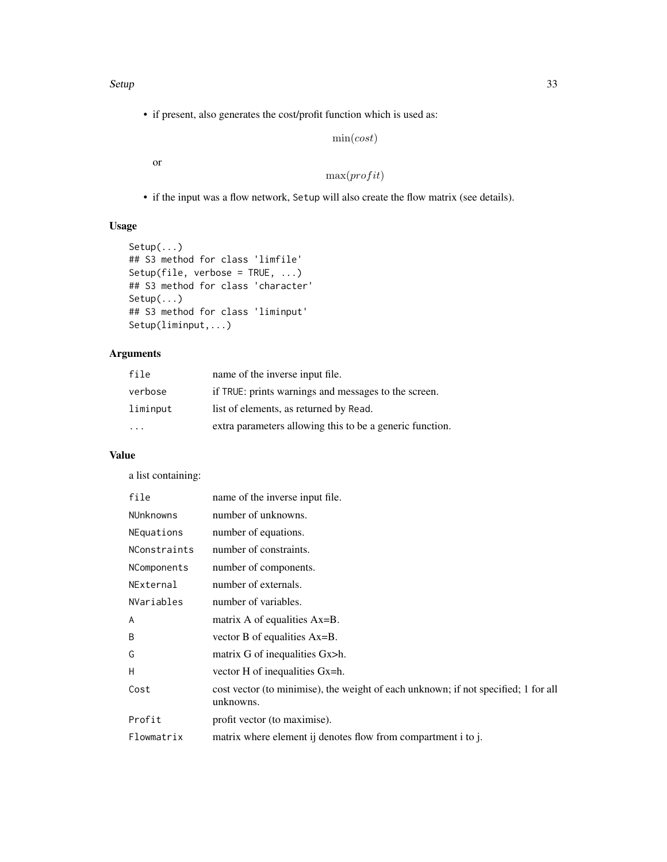• if present, also generates the cost/profit function which is used as:

# $\min(cost)$

or

# $max(profit)$

• if the input was a flow network, Setup will also create the flow matrix (see details).

# Usage

```
Setup(...)
## S3 method for class 'limfile'
Setup(file, verbose = TRUE, ...)
## S3 method for class 'character'
Setup(...)
## S3 method for class 'liminput'
Setup(liminput,...)
```
# Arguments

| file      | name of the inverse input file.                          |
|-----------|----------------------------------------------------------|
| verbose   | if TRUE: prints warnings and messages to the screen.     |
| liminput  | list of elements, as returned by Read.                   |
| $\ddotsc$ | extra parameters allowing this to be a generic function. |

# Value

a list containing:

| file             | name of the inverse input file.                                                                 |
|------------------|-------------------------------------------------------------------------------------------------|
| <b>NUnknowns</b> | number of unknowns.                                                                             |
| NEquations       | number of equations.                                                                            |
| NConstraints     | number of constraints.                                                                          |
| NComponents      | number of components.                                                                           |
| NExternal        | number of externals.                                                                            |
| NVariables       | number of variables.                                                                            |
| A                | matrix A of equalities Ax=B.                                                                    |
| B                | vector B of equalities Ax=B.                                                                    |
| G                | matrix G of inequalities Gx>h.                                                                  |
| Н                | vector H of inequalities Gx=h.                                                                  |
| Cost             | cost vector (to minimise), the weight of each unknown; if not specified; 1 for all<br>unknowns. |
| Profit           | profit vector (to maximise).                                                                    |
| Flowmatrix       | matrix where element ij denotes flow from compartment i to j.                                   |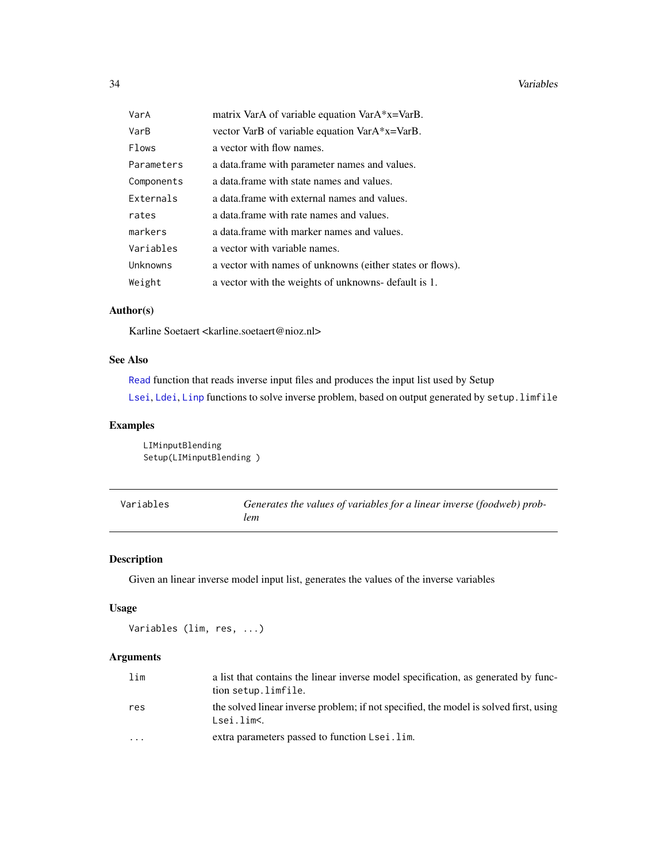#### <span id="page-33-0"></span>34 Variables

| VarA       | matrix VarA of variable equation VarA*x=VarB.             |
|------------|-----------------------------------------------------------|
| VarB       | vector VarB of variable equation VarA*x=VarB.             |
| Flows      | a vector with flow names.                                 |
| Parameters | a data. frame with parameter names and values.            |
| Components | a data. frame with state names and values.                |
| Externals  | a data frame with external names and values.              |
| rates      | a data. frame with rate names and values.                 |
| markers    | a data frame with marker names and values.                |
| Variables  | a vector with variable names.                             |
| Unknowns   | a vector with names of unknowns (either states or flows). |
| Weight     | a vector with the weights of unknowns- default is 1.      |

# Author(s)

Karline Soetaert <karline.soetaert@nioz.nl>

#### See Also

[Read](#page-29-1) function that reads inverse input files and produces the input list used by Setup [Lsei](#page-24-1), [Ldei](#page-5-1), [Linp](#page-22-1) functions to solve inverse problem, based on output generated by setup.limfile

# Examples

LIMinputBlending Setup(LIMinputBlending )

<span id="page-33-1"></span>

| Variables | Generates the values of variables for a linear inverse (foodweb) prob- |
|-----------|------------------------------------------------------------------------|
|           | lem                                                                    |

# Description

Given an linear inverse model input list, generates the values of the inverse variables

# Usage

Variables (lim, res, ...)

# Arguments

| lim                     | a list that contains the linear inverse model specification, as generated by func-<br>tion setup.limfile. |
|-------------------------|-----------------------------------------------------------------------------------------------------------|
| res                     | the solved linear inverse problem; if not specified, the model is solved first, using<br>Lsei.lim<.       |
| $\cdot$ $\cdot$ $\cdot$ | extra parameters passed to function Lsei.lim.                                                             |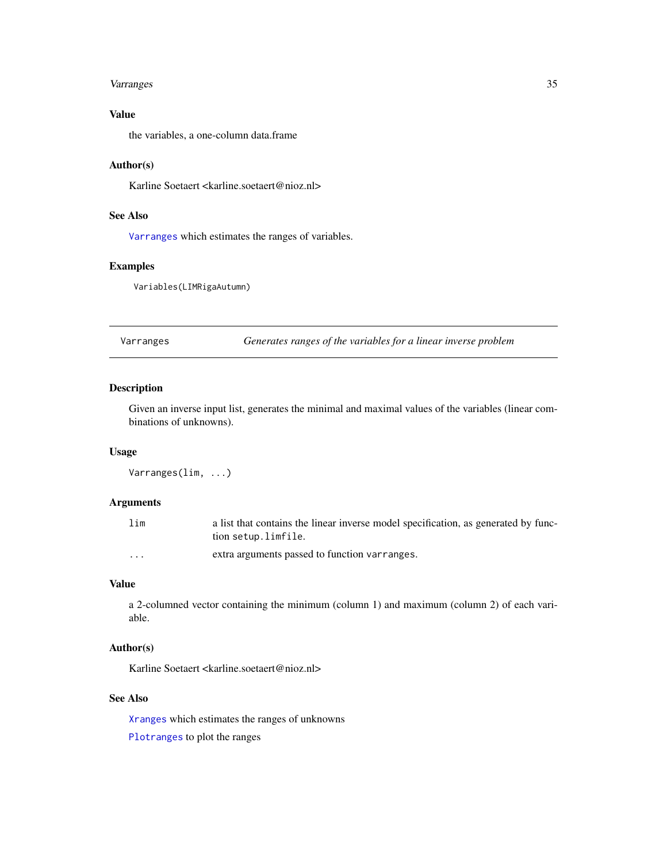#### <span id="page-34-0"></span>Varranges 35

# Value

the variables, a one-column data.frame

#### Author(s)

Karline Soetaert <karline.soetaert@nioz.nl>

# See Also

[Varranges](#page-34-1) which estimates the ranges of variables.

#### Examples

Variables(LIMRigaAutumn)

<span id="page-34-1"></span>Varranges *Generates ranges of the variables for a linear inverse problem*

# Description

Given an inverse input list, generates the minimal and maximal values of the variables (linear combinations of unknowns).

#### Usage

Varranges(lim, ...)

### Arguments

| lim      | a list that contains the linear inverse model specification, as generated by func-<br>tion setup.limfile. |
|----------|-----------------------------------------------------------------------------------------------------------|
| $\cdots$ | extra arguments passed to function varranges.                                                             |

# Value

a 2-columned vector containing the minimum (column 1) and maximum (column 2) of each variable.

# Author(s)

Karline Soetaert <karline.soetaert@nioz.nl>

#### See Also

[Xranges](#page-35-1) which estimates the ranges of unknowns

[Plotranges](#page-27-1) to plot the ranges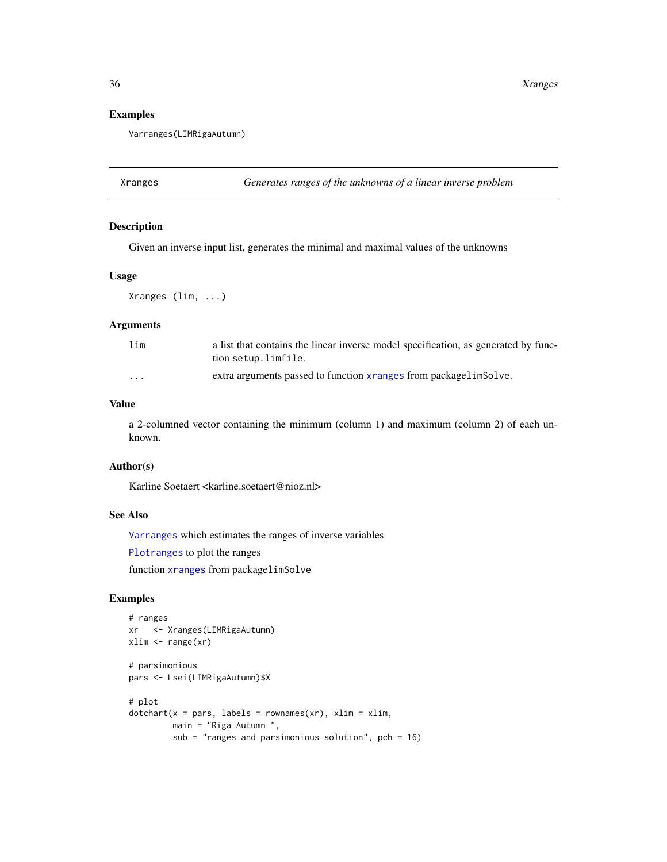# Examples

Varranges(LIMRigaAutumn)

<span id="page-35-1"></span>Xranges *Generates ranges of the unknowns of a linear inverse problem*

### Description

Given an inverse input list, generates the minimal and maximal values of the unknowns

#### Usage

Xranges (lim, ...)

#### Arguments

| lim      | a list that contains the linear inverse model specification, as generated by func-<br>tion setup.limfile. |
|----------|-----------------------------------------------------------------------------------------------------------|
| $\cdots$ | extra arguments passed to function x ranges from package lim Solve.                                       |

# Value

a 2-columned vector containing the minimum (column 1) and maximum (column 2) of each unknown.

#### Author(s)

Karline Soetaert <karline.soetaert@nioz.nl>

# See Also

[Varranges](#page-34-1) which estimates the ranges of inverse variables

[Plotranges](#page-27-1) to plot the ranges

function [xranges](#page-0-0) from packagelimSolve

# Examples

```
# ranges
xr <- Xranges(LIMRigaAutumn)
xlim <- range(xr)
# parsimonious
pars <- Lsei(LIMRigaAutumn)$X
# plot
dotchar(x = pars, labels = rownames(xr), xlim = xlim,main = "Riga Autumn ",
        sub = "ranges and parsimonious solution", pch = 16)
```
<span id="page-35-0"></span>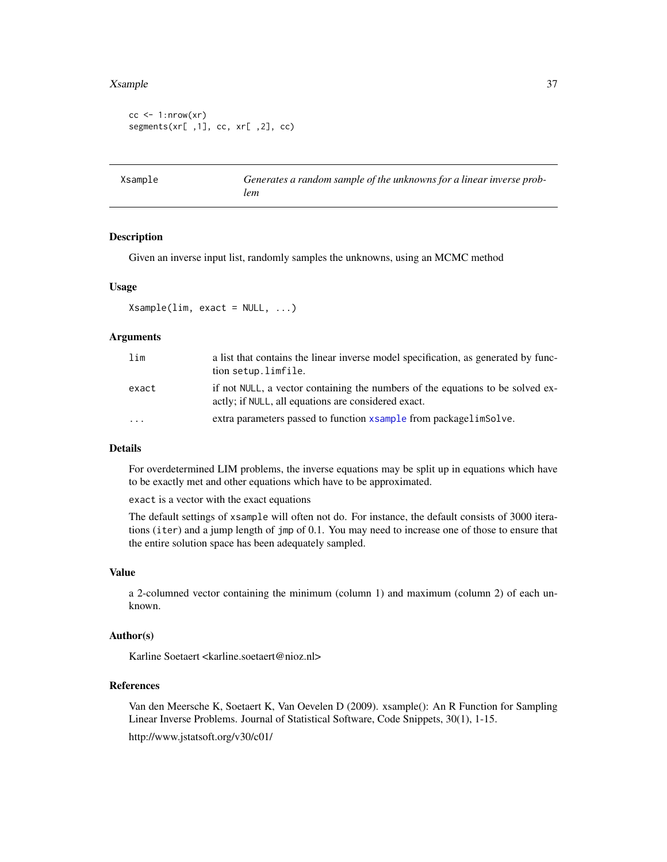#### <span id="page-36-0"></span>Xsample 37

```
cc < -1:nrow(xr)segments(xr[,1], cc, xr[,2], cc)
```
<span id="page-36-1"></span>Xsample *Generates a random sample of the unknowns for a linear inverse problem*

#### Description

Given an inverse input list, randomly samples the unknowns, using an MCMC method

### Usage

 $X$ sample(lim, exact = NULL, ...)

# **Arguments**

| lim   | a list that contains the linear inverse model specification, as generated by func-<br>tion setup.limfile.                             |
|-------|---------------------------------------------------------------------------------------------------------------------------------------|
| exact | if not NULL, a vector containing the numbers of the equations to be solved ex-<br>actly; if NULL, all equations are considered exact. |
| .     | extra parameters passed to function xsample from packagelimSolve.                                                                     |

### Details

For overdetermined LIM problems, the inverse equations may be split up in equations which have to be exactly met and other equations which have to be approximated.

exact is a vector with the exact equations

The default settings of xsample will often not do. For instance, the default consists of 3000 iterations (iter) and a jump length of jmp of 0.1. You may need to increase one of those to ensure that the entire solution space has been adequately sampled.

#### Value

a 2-columned vector containing the minimum (column 1) and maximum (column 2) of each unknown.

# Author(s)

Karline Soetaert <karline.soetaert@nioz.nl>

#### References

Van den Meersche K, Soetaert K, Van Oevelen D (2009). xsample(): An R Function for Sampling Linear Inverse Problems. Journal of Statistical Software, Code Snippets, 30(1), 1-15. http://www.jstatsoft.org/v30/c01/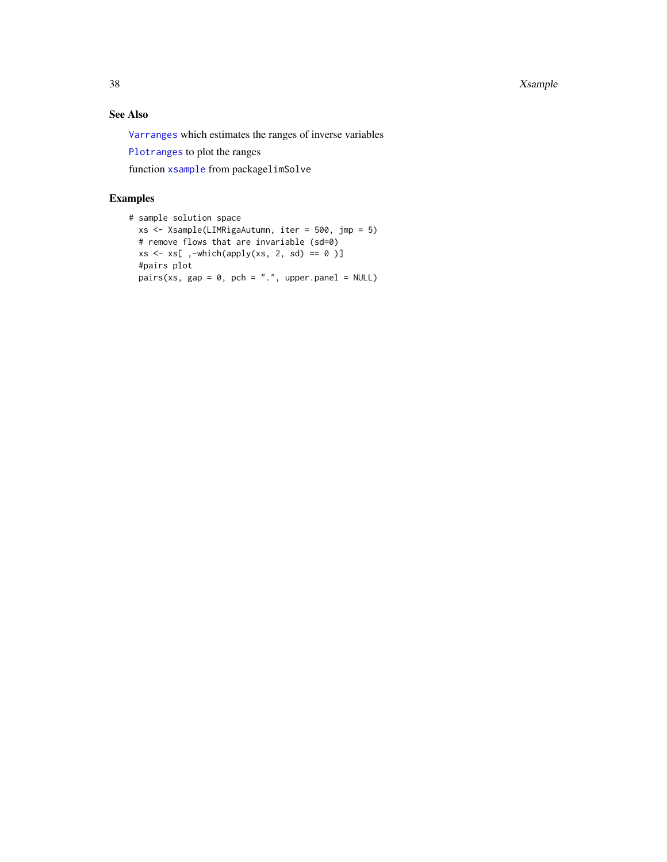<span id="page-37-0"></span>38 Sample School and the School and the School and the School and the School and the School and the School and

# See Also

[Varranges](#page-34-1) which estimates the ranges of inverse variables

[Plotranges](#page-27-1) to plot the ranges

function [xsample](#page-0-0) from packagelimSolve

# Examples

```
# sample solution space
 xs <- Xsample(LIMRigaAutumn, iter = 500, jmp = 5)
  # remove flows that are invariable (sd=0)
 xs \leftarrow xs[ ,-which(apply(xs, 2, sd) == 0 )]
  #pairs plot
  pairs(xs, gap = 0, pch = ".", upper.panel = NULL)
```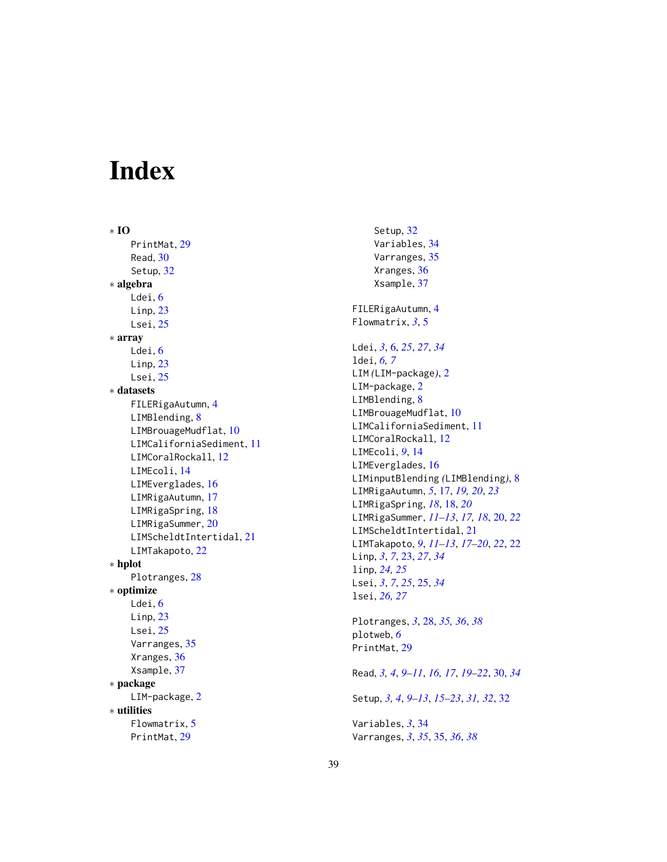# <span id="page-38-0"></span>Index

∗ IO PrintMat , [29](#page-28-0) Read , [30](#page-29-0) Setup , [32](#page-31-0) ∗ algebra Ldei, [6](#page-5-0)  $L$ inp,  $23$ Lsei, [25](#page-24-0) ∗ array Ldei, [6](#page-5-0) Linp, [23](#page-22-0) Lsei, [25](#page-24-0) ∗ datasets FILERigaAutumn , [4](#page-3-0) LIMBlending, [8](#page-7-0) LIMBrouageMudflat, [10](#page-9-0) LIMCaliforniaSediment , [11](#page-10-0) LIMCoralRockall , [12](#page-11-0) LIMEcoli , [14](#page-13-0) LIMEverglades, [16](#page-15-0) LIMRigaAutumn, [17](#page-16-0) LIMRigaSpring, [18](#page-17-0) LIMRigaSummer, $20$ LIMScheldtIntertidal, [21](#page-20-0) LIMTakapoto, [22](#page-21-0) ∗ hplot Plotranges, [28](#page-27-0) ∗ optimize Ldei, [6](#page-5-0)  $L$ inp,  $23$ Lsei, [25](#page-24-0) Varranges, [35](#page-34-0) Xranges , [36](#page-35-0) Xsample , [37](#page-36-0) ∗ package LIM-package, [2](#page-1-0) ∗ utilities Flowmatrix, [5](#page-4-0) PrintMat , [29](#page-28-0)

Setup, [32](#page-31-0) Variables , [34](#page-33-0) Varranges, [35](#page-34-0) Xranges , [36](#page-35-0) Xsample , [37](#page-36-0) FILERigaAutumn , [4](#page-3-0) Flowmatrix , *[3](#page-2-0)* , [5](#page-4-0) Ldei , *[3](#page-2-0)* , [6](#page-5-0) , *[25](#page-24-0)* , *[27](#page-26-0)* , *[34](#page-33-0)* ldei , *[6,](#page-5-0) [7](#page-6-0)* LIM *(*LIM-package *)* , [2](#page-1-0) LIM-package, [2](#page-1-0) LIMBlending, [8](#page-7-0) LIMBrouageMudflat, [10](#page-9-0) LIMCaliforniaSediment, [11](#page-10-0) LIMCoralRockall, [12](#page-11-0) LIMEcoli , *[9](#page-8-0)* , [14](#page-13-0) LIMEverglades, [16](#page-15-0) LIMinputBlending *(*LIMBlending *)* , [8](#page-7-0) LIMRigaAutumn , *[5](#page-4-0)* , [17](#page-16-0) , *[19](#page-18-0) , [20](#page-19-0)* , *[23](#page-22-0)* LIMRigaSpring , *[18](#page-17-0)* , [18](#page-17-0) , *[20](#page-19-0)* LIMRigaSummer , *[11](#page-10-0) [–13](#page-12-0)* , *[17,](#page-16-0) [18](#page-17-0)* , [20](#page-19-0) , *[22](#page-21-0)* LIMScheldtIntertidal, [21](#page-20-0) LIMTakapoto , *[9](#page-8-0)* , *[11](#page-10-0) [–13](#page-12-0)* , *[17](#page-16-0)[–20](#page-19-0)* , *[22](#page-21-0)* , [22](#page-21-0) Linp , *[3](#page-2-0)* , *[7](#page-6-0)* , [23](#page-22-0) , *[27](#page-26-0)* , *[34](#page-33-0)* linp , *[24](#page-23-0) , [25](#page-24-0)* Lsei , *[3](#page-2-0)* , *[7](#page-6-0)* , *[25](#page-24-0)* , [25](#page-24-0) , *[34](#page-33-0)* lsei , *[26,](#page-25-0) [27](#page-26-0)* Plotranges , *[3](#page-2-0)* , [28](#page-27-0) , *[35](#page-34-0) , [36](#page-35-0)* , *[38](#page-37-0)* plotweb , *[6](#page-5-0)* PrintMat , [29](#page-28-0) Read , *[3](#page-2-0) , [4](#page-3-0)* , *[9](#page-8-0) [–11](#page-10-0)* , *[16,](#page-15-0) [17](#page-16-0)* , *[19](#page-18-0) [–22](#page-21-0)* , [30](#page-29-0) , *[34](#page-33-0)* Setup , *[3](#page-2-0) , [4](#page-3-0)* , *[9](#page-8-0) [–13](#page-12-0)* , *[15](#page-14-0) [–23](#page-22-0)* , *[31](#page-30-0) , [32](#page-31-0)* , [32](#page-31-0)

Variables , *[3](#page-2-0)* , [34](#page-33-0) Varranges , *[3](#page-2-0)* , *[35](#page-34-0)* , [35](#page-34-0) , *[36](#page-35-0)* , *[38](#page-37-0)*